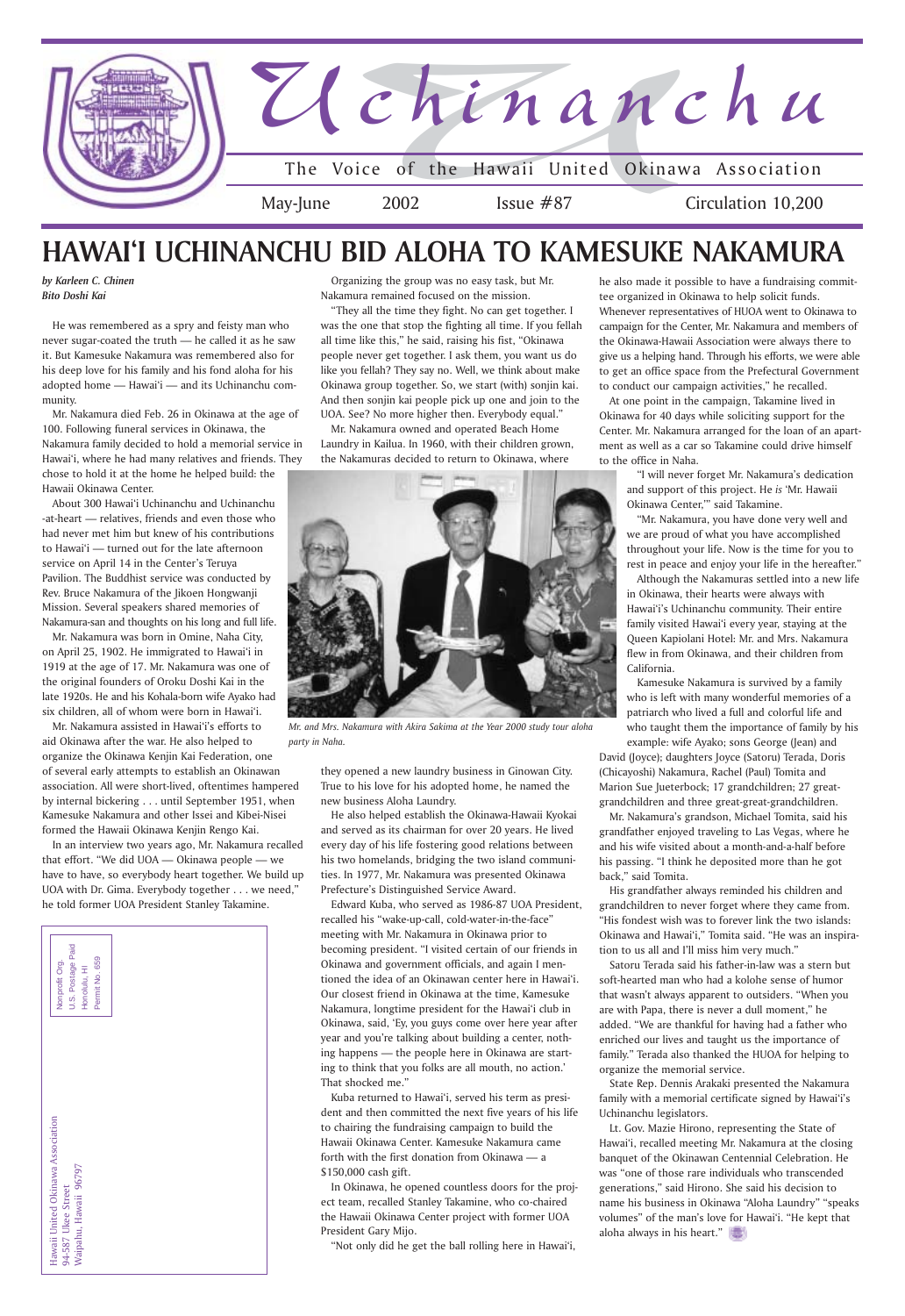Hawaii United Okinawa Association<br>94-587 Ukee Street<br>Waipahu, Hawaii 96797 Hawaii United Okinawa Association Waipahu, Hawaii 96797 94-587 Ukee Street





*by Karleen C. Chinen Bito Doshi Kai*

He was remembered as a spry and feisty man who never sugar-coated the truth — he called it as he saw it. But Kamesuke Nakamura was remembered also for his deep love for his family and his fond aloha for his adopted home — Hawai'i — and its Uchinanchu community.

Mr. Nakamura died Feb. 26 in Okinawa at the age of 100. Following funeral services in Okinawa, the Nakamura family decided to hold a memorial service in Hawai'i, where he had many relatives and friends. They chose to hold it at the home he helped build: the Hawaii Okinawa Center.

About 300 Hawai'i Uchinanchu and Uchinanchu -at-heart — relatives, friends and even those who had never met him but knew of his contributions to Hawai'i — turned out for the late afternoon service on April 14 in the Center's Teruya Pavilion. The Buddhist service was conducted by Rev. Bruce Nakamura of the Jikoen Hongwanji Mission. Several speakers shared memories of Nakamura-san and thoughts on his long and full life.

Mr. Nakamura was born in Omine, Naha City, on April 25, 1902. He immigrated to Hawai'i in 1919 at the age of 17. Mr. Nakamura was one of the original founders of Oroku Doshi Kai in the late 1920s. He and his Kohala-born wife Ayako had six children, all of whom were born in Hawai'i.

Mr. Nakamura assisted in Hawai'i's efforts to aid Okinawa after the war. He also helped to organize the Okinawa Kenjin Kai Federation, one of several early attempts to establish an Okinawan association. All were short-lived, oftentimes hampered by internal bickering . . . until September 1951, when Kamesuke Nakamura and other Issei and Kibei-Nisei formed the Hawaii Okinawa Kenjin Rengo Kai.

In an interview two years ago, Mr. Nakamura recalled that effort. "We did UOA — Okinawa people — we have to have, so everybody heart together. We build up UOA with Dr. Gima. Everybody together . . . we need," he told former UOA President Stanley Takamine.

Organizing the group was no easy task, but Mr. Nakamura remained focused on the mission.

"They all the time they fight. No can get together. I was the one that stop the fighting all time. If you fellah all time like this," he said, raising his fist, "Okinawa people never get together. I ask them, you want us do like you fellah? They say no. Well, we think about make Okinawa group together. So, we start (with) sonjin kai. And then sonjin kai people pick up one and join to the UOA. See? No more higher then. Everybody equal."

Mr. Nakamura owned and operated Beach Home Laundry in Kailua. In 1960, with their children grown, the Nakamuras decided to return to Okinawa, where

they opened a new laundry business in Ginowan City. True to his love for his adopted home, he named the new business Aloha Laundry.

He also helped establish the Okinawa-Hawaii Kyokai and served as its chairman for over 20 years. He lived every day of his life fostering good relations between his two homelands, bridging the two island communities. In 1977, Mr. Nakamura was presented Okinawa Prefecture's Distinguished Service Award.

Edward Kuba, who served as 1986-87 UOA President, recalled his "wake-up-call, cold-water-in-the-face" meeting with Mr. Nakamura in Okinawa prior to becoming president. "I visited certain of our friends in Okinawa and government officials, and again I mentioned the idea of an Okinawan center here in Hawai'i. Our closest friend in Okinawa at the time, Kamesuke Nakamura, longtime president for the Hawai'i club in Okinawa, said, 'Ey, you guys come over here year after year and you're talking about building a center, nothing happens — the people here in Okinawa are starting to think that you folks are all mouth, no action.' That shocked me."

Kuba returned to Hawai'i, served his term as president and then committed the next five years of his life to chairing the fundraising campaign to build the Hawaii Okinawa Center. Kamesuke Nakamura came forth with the first donation from Okinawa — a \$150,000 cash gift.

In Okinawa, he opened countless doors for the project team, recalled Stanley Takamine, who co-chaired the Hawaii Okinawa Center project with former UOA President Gary Mijo.

"Not only did he get the ball rolling here in Hawai'i,

## **HAWAI'I UCHINANCHU BID ALOHA TO KAMESUKE NAKAMURA**

he also made it possible to have a fundraising committee organized in Okinawa to help solicit funds. Whenever representatives of HUOA went to Okinawa to campaign for the Center, Mr. Nakamura and members of the Okinawa-Hawaii Association were always there to give us a helping hand. Through his efforts, we were able to get an office space from the Prefectural Government to conduct our campaign activities," he recalled.

At one point in the campaign, Takamine lived in Okinawa for 40 days while soliciting support for the Center. Mr. Nakamura arranged for the loan of an apartment as well as a car so Takamine could drive himself to the office in Naha.

"I will never forget Mr. Nakamura's dedication and support of this project. He *is* 'Mr. Hawaii Okinawa Center,'" said Takamine.

"Mr. Nakamura, you have done very well and we are proud of what you have accomplished throughout your life. Now is the time for you to rest in peace and enjoy your life in the hereafter."

Although the Nakamuras settled into a new life in Okinawa, their hearts were always with Hawai'i's Uchinanchu community. Their entire family visited Hawai'i every year, staying at the Queen Kapiolani Hotel: Mr. and Mrs. Nakamura flew in from Okinawa, and their children from California.

Kamesuke Nakamura is survived by a family who is left with many wonderful memories of a patriarch who lived a full and colorful life and who taught them the importance of family by his example: wife Ayako; sons George (Jean) and

David (Joyce); daughters Joyce (Satoru) Terada, Doris (Chicayoshi) Nakamura, Rachel (Paul) Tomita and Marion Sue Jueterbock; 17 grandchildren; 27 greatgrandchildren and three great-great-grandchildren.

Mr. Nakamura's grandson, Michael Tomita, said his grandfather enjoyed traveling to Las Vegas, where he and his wife visited about a month-and-a-half before his passing. "I think he deposited more than he got back," said Tomita.

His grandfather always reminded his children and grandchildren to never forget where they came from. "His fondest wish was to forever link the two islands: Okinawa and Hawai'i," Tomita said. "He was an inspiration to us all and I'll miss him very much."

Satoru Terada said his father-in-law was a stern but soft-hearted man who had a kolohe sense of humor that wasn't always apparent to outsiders. "When you are with Papa, there is never a dull moment," he added. "We are thankful for having had a father who

enriched our lives and taught us the importance of family." Terada also thanked the HUOA for helping to organize the memorial service.

State Rep. Dennis Arakaki presented the Nakamura family with a memorial certificate signed by Hawai'i's Uchinanchu legislators.

Lt. Gov. Mazie Hirono, representing the State of Hawai'i, recalled meeting Mr. Nakamura at the closing banquet of the Okinawan Centennial Celebration. He was "one of those rare individuals who transcended generations," said Hirono. She said his decision to name his business in Okinawa "Aloha Laundry" "speaks volumes" of the man's love for Hawai'i. "He kept that aloha always in his heart."



*Mr. and Mrs. Nakamura with Akira Sakima at the Year 2000 study tour aloha party in Naha.*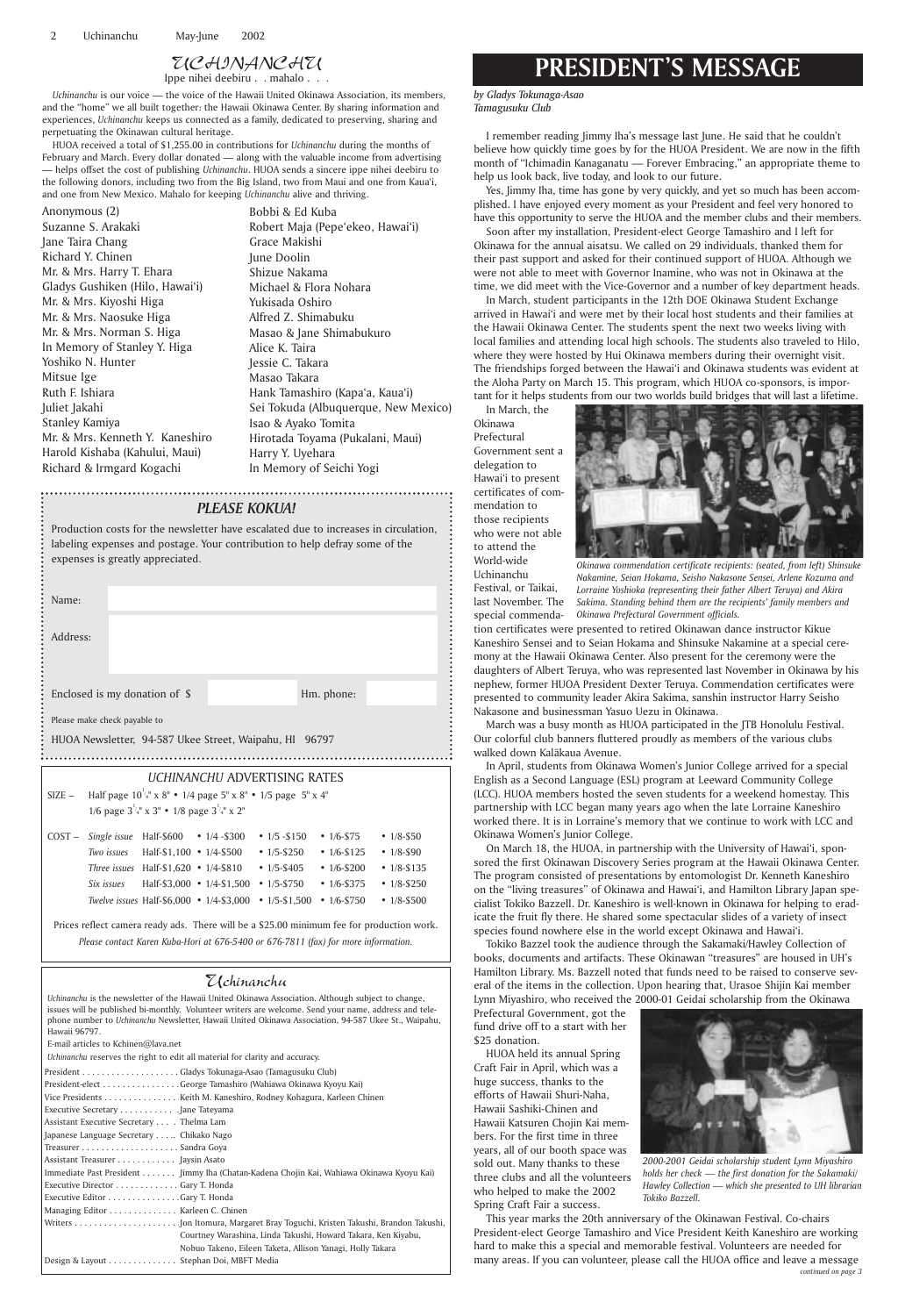$ZCAIMANCAT$ 

#### *PLEASE KOKUA!*

Production costs for the newsletter have escalated due to increases in circulation, labeling expenses and postage. Your contribution to help defray some of the expenses is greatly appreciated.

*Uchinanchu* is our voice — the voice of the Hawaii United Okinawa Association, its members, and the "home" we all built together: the Hawaii Okinawa Center. By sharing information and experiences, *Uchinanchu* keeps us connected as a family, dedicated to preserving, sharing and perpetuating the Okinawan cultural heritage.

HUOA received a total of \$1,255.00 in contributions for *Uchinanchu* during the months of February and March. Every dollar donated — along with the valuable income from advertising — helps offset the cost of publishing *Uchinanchu*. HUOA sends a sincere ippe nihei deebiru to the following donors, including two from the Big Island, two from Maui and one from Kaua'i, and one from New Mexico. Mahalo for keeping *Uchinanchu* alive and thriving.

| Anonymous (2)                   | Bobbi & Ed Kuba                      |
|---------------------------------|--------------------------------------|
| Suzanne S. Arakaki              | Robert Maja (Pepe'ekeo, Hawai'i)     |
| Jane Taira Chang                | Grace Makishi                        |
| Richard Y. Chinen               | June Doolin                          |
| Mr. & Mrs. Harry T. Ehara       | Shizue Nakama                        |
| Gladys Gushiken (Hilo, Hawai'i) | Michael & Flora Nohara               |
| Mr. & Mrs. Kiyoshi Higa         | Yukisada Oshiro                      |
| Mr. & Mrs. Naosuke Higa         | Alfred Z. Shimabuku                  |
| Mr. & Mrs. Norman S. Higa       | Masao & Jane Shimabukuro             |
| In Memory of Stanley Y. Higa    | Alice K. Taira                       |
| Yoshiko N. Hunter               | Jessie C. Takara                     |
| Mitsue Ige                      | Masao Takara                         |
| Ruth F. Ishiara                 | Hank Tamashiro (Kapa'a, Kaua'i)      |
| Juliet Jakahi                   | Sei Tokuda (Albuquerque, New Mexico) |
| Stanley Kamiya                  | Isao & Ayako Tomita                  |
| Mr. & Mrs. Kenneth Y. Kaneshiro | Hirotada Toyama (Pukalani, Maui)     |
| Harold Kishaba (Kahului, Maui)  | Harry Y. Uyehara                     |
| Richard & Irmgard Kogachi       | In Memory of Seichi Yogi             |
|                                 |                                      |

*by Gladys Tokunaga-Asao Tamagusuku Club*

I remember reading Jimmy Iha's message last June. He said that he couldn't believe how quickly time goes by for the HUOA President. We are now in the fifth month of "Ichimadin Kanaganatu — Forever Embracing," an appropriate theme to help us look back, live today, and look to our future.

March was a busy month as HUOA participated in the JTB Honolulu Festival. Our colorful club banners fluttered proudly as members of the various clubs walked down Kalākaua Avenue.

Yes, Jimmy Iha, time has gone by very quickly, and yet so much has been accomplished. I have enjoyed every moment as your President and feel very honored to have this opportunity to serve the HUOA and the member clubs and their members.

Soon after my installation, President-elect George Tamashiro and I left for Okinawa for the annual aisatsu. We called on 29 individuals, thanked them for their past support and asked for their continued support of HUOA. Although we were not able to meet with Governor Inamine, who was not in Okinawa at the time, we did meet with the Vice-Governor and a number of key department heads.

Prefectural Government, got the fund drive off to a start with her \$25 donation.



In March, student participants in the 12th DOE Okinawa Student Exchange arrived in Hawai'i and were met by their local host students and their families at the Hawaii Okinawa Center. The students spent the next two weeks living with local families and attending local high schools. The students also traveled to Hilo, where they were hosted by Hui Okinawa members during their overnight visit. The friendships forged between the Hawai'i and Okinawa students was evident at the Aloha Party on March 15. This program, which HUOA co-sponsors, is important for it helps students from our two worlds build bridges that will last a lifetime.

In March, the Okinawa Prefectural Government sent a delegation to Hawai'i to present certificates of commendation to those recipients who were not able to attend the World-wide Uchinanchu Festival, or Taikai, last November. The

| Name:                        |                                                   |                                                                                              |                |                                       |                |
|------------------------------|---------------------------------------------------|----------------------------------------------------------------------------------------------|----------------|---------------------------------------|----------------|
| Address:                     |                                                   |                                                                                              |                |                                       |                |
|                              | Enclosed is my donation of \$                     |                                                                                              |                | Hm. phone:                            |                |
| Please make check payable to |                                                   |                                                                                              |                |                                       |                |
|                              |                                                   | HUOA Newsletter, 94-587 Ukee Street, Waipahu, HI 96797                                       |                |                                       |                |
|                              |                                                   |                                                                                              |                |                                       |                |
|                              |                                                   |                                                                                              |                |                                       |                |
|                              |                                                   | UCHINANCHU ADVERTISING RATES                                                                 |                |                                       |                |
| $SIZE -$                     |                                                   | Half page $10^{1/4}$ x $8$ <sup>"</sup> • 1/4 page 5 <sup>"</sup> x $8$ " • 1/5 page 5" x 4" |                |                                       |                |
|                              | 1/6 page $3^{1/4}$ x 3" • 1/8 page $3^{1/4}$ x 2" |                                                                                              |                |                                       |                |
| $COST -$                     |                                                   | Single issue Half-\$600 • 1/4 -\$300 • 1/5 -\$150                                            |                | • $1/6 - $75$                         | • $1/8 - $50$  |
|                              |                                                   | Two issues Half-\$1,100 • 1/4-\$500 • 1/5-\$250                                              |                | • $1/6 - $125$                        | • $1/8 - $90$  |
|                              |                                                   | Three issues Half- $$1,620 \cdot 1/4-S810 \cdot 1/5-S405$                                    |                | $\cdot$ 1/6-\$200                     | • $1/8 - $135$ |
|                              |                                                   | $Six \text{ issues}$ Half-\$3,000 • 1/4-\$1,500                                              | • $1/5 - $750$ | • $1/6 - $375$                        | • $1/8 - $250$ |
|                              |                                                   | Twelve issues Half-\$6,000 • 1/4-\$3,000                                                     |                | $\cdot$ 1/5-\$1,500 $\cdot$ 1/6-\$750 | • $1/8 - $500$ |

special commenda-

tion certificates were presented to retired Okinawan dance instructor Kikue Kaneshiro Sensei and to Seian Hokama and Shinsuke Nakamine at a special ceremony at the Hawaii Okinawa Center. Also present for the ceremony were the daughters of Albert Teruya, who was represented last November in Okinawa by his nephew, former HUOA President Dexter Teruya. Commendation certificates were presented to community leader Akira Sakima, sanshin instructor Harry Seisho Nakasone and businessman Yasuo Uezu in Okinawa.

In April, students from Okinawa Women's Junior College arrived for a special English as a Second Language (ESL) program at Leeward Community College (LCC). HUOA members hosted the seven students for a weekend homestay. This partnership with LCC began many years ago when the late Lorraine Kaneshiro worked there. It is in Lorraine's memory that we continue to work with LCC and Okinawa Women's Junior College.

On March 18, the HUOA, in partnership with the University of Hawai'i, sponsored the first Okinawan Discovery Series program at the Hawaii Okinawa Center. The program consisted of presentations by entomologist Dr. Kenneth Kaneshiro on the "living treasures" of Okinawa and Hawai'i, and Hamilton Library Japan specialist Tokiko Bazzell. Dr. Kaneshiro is well-known in Okinawa for helping to eradicate the fruit fly there. He shared some spectacular slides of a variety of insect species found nowhere else in the world except Okinawa and Hawai'i.

Tokiko Bazzel took the audience through the Sakamaki/Hawley Collection of books, documents and artifacts. These Okinawan "treasures" are housed in UH's Hamilton Library. Ms. Bazzell noted that funds need to be raised to conserve several of the items in the collection. Upon hearing that, Urasoe Shijin Kai member Lynn Miyashiro, who received the 2000-01 Geidai scholarship from the Okinawa

HUOA held its annual Spring Craft Fair in April, which was a huge success, thanks to the efforts of Hawaii Shuri-Naha, Hawaii Sashiki-Chinen and Hawaii Katsuren Chojin Kai members. For the first time in three years, all of our booth space was sold out. Many thanks to these three clubs and all the volunteers who helped to make the 2002 Spring Craft Fair a success.

*Please contact Karen Kuba-Hori at 676-5400 or 676-7811 (fax) for more information.*

This year marks the 20th anniversary of the Okinawan Festival. Co-chairs President-elect George Tamashiro and Vice President Keith Kaneshiro are working hard to make this a special and memorable festival. Volunteers are needed for many areas. If you can volunteer, please call the HUOA office and leave a message *continued on page 3*

### Uchinanchu

*Uchinanchu* is the newsletter of the Hawaii United Okinawa Association. Although subject to change, issues will be published bi-monthly. Volunteer writers are welcome. Send your name, address and telephone number to *Uchinanchu* Newsletter, Hawaii United Okinawa Association, 94-587 Ukee St., Waipahu,

| President-elect George Tamashiro (Wahiawa Okinawa Kyoyu Kai)                             |
|------------------------------------------------------------------------------------------|
| Vice Presidents Keith M. Kaneshiro, Rodney Kohagura, Karleen Chinen                      |
| Executive Secretary Jane Tateyama                                                        |
| Assistant Executive Secretary Thelma Lam                                                 |
| Japanese Language Secretary Chikako Nago                                                 |
|                                                                                          |
| Assistant Treasurer Jaysin Asato                                                         |
| Immediate Past President Jimmy Iha (Chatan-Kadena Chojin Kai, Wahiawa Okinawa Kyoyu Kai) |
| Executive Director Gary T. Honda                                                         |
| Executive Editor Gary T. Honda                                                           |
| Managing Editor Karleen C. Chinen                                                        |
|                                                                                          |
| Courtney Warashina, Linda Takushi, Howard Takara, Ken Kiyabu,                            |
| Nobuo Takeno, Eileen Taketa, Allison Yanagi, Holly Takara                                |
| Design & Layout Stephan Doi, MBFT Media                                                  |

### **PRESIDENT'S MESSAGE**

Hawaii 96797.

E-mail articles to Kchinen@lava.net

*Uchinanchu* reserves the right to edit all material for clarity and accuracy.

*2000-2001 Geidai scholarship student Lynn Miyashiro holds her check — the first donation for the Sakamaki/ Hawley Collection — which she presented to UH librarian Tokiko Bazzell.*



*Okinawa commendation certificate recipients: (seated, from left) Shinsuke Nakamine, Seian Hokama, Seisho Nakasone Sensei, Arlene Kozuma and Lorraine Yoshioka (representing their father Albert Teruya) and Akira Sakima. Standing behind them are the recipients' family members and Okinawa Prefectural Government officials.*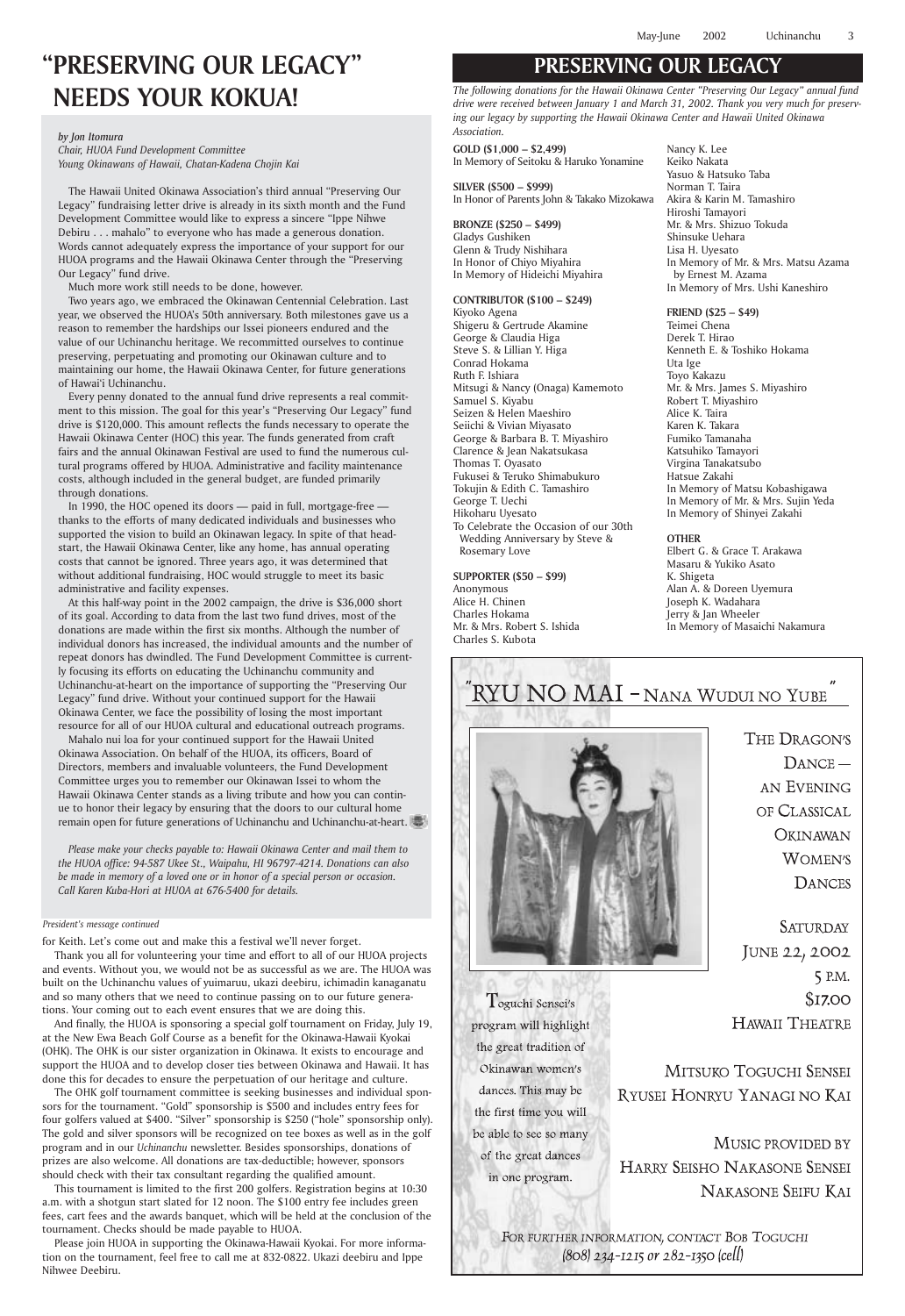## **"PRESERVING OUR LEGACY" "NEEDS YOUR KOKUA!**

### **PRESERVING OUR LEGACY**

for Keith. Let's come out and make this a festival we'll never forget.

Thank you all for volunteering your time and effort to all of our HUOA projects and events. Without you, we would not be as successful as we are. The HUOA was built on the Uchinanchu values of yuimaruu, ukazi deebiru, ichimadin kanaganatu and so many others that we need to continue passing on to our future generations. Your coming out to each event ensures that we are doing this.

And finally, the HUOA is sponsoring a special golf tournament on Friday, July 19,

at the New Ewa Beach Golf Course as a benefit for the Okinawa-Hawaii Kyokai (OHK). The OHK is our sister organization in Okinawa. It exists to encourage and support the HUOA and to develop closer ties between Okinawa and Hawaii. It has done this for decades to ensure the perpetuation of our heritage and culture.

The OHK golf tournament committee is seeking businesses and individual sponsors for the tournament. "Gold" sponsorship is \$500 and includes entry fees for four golfers valued at \$400. "Silver" sponsorship is \$250 ("hole" sponsorship only). The gold and silver sponsors will be recognized on tee boxes as well as in the golf program and in our *Uchinanchu* newsletter. Besides sponsorships, donations of prizes are also welcome. All donations are tax-deductible; however, sponsors should check with their tax consultant regarding the qualified amount.

This tournament is limited to the first 200 golfers. Registration begins at 10:30 a.m. with a shotgun start slated for 12 noon. The \$100 entry fee includes green fees, cart fees and the awards banquet, which will be held at the conclusion of the tournament. Checks should be made payable to HUOA.

Please join HUOA in supporting the Okinawa-Hawaii Kyokai. For more information on the tournament, feel free to call me at 832-0822. Ukazi deebiru and Ippe Nihwee Deebiru.

the great tradition of Okinawan women's dances. This may be the first time you will be able to see so many of the great dances in one program.

MITSUKO TOGUCHI SENSEI RYUSEI HONRYU YANAGI NO KAI MUSIC PROVIDED BY

HARRY SEISHO NAKASONE SENSEI **NAKASONE SEIFU KAI** 

FOR FURTHER INFORMATION, CONTACT BOB TOGUCHI  $(808)$  234-1215 or 282-1350 (cell)

*The following donations for the Hawaii Okinawa Center "Preserving Our Legacy" annual fund drive were received between January 1 and March 31, 2002. Thank you very much for preserving our legacy by supporting the Hawaii Okinawa Center and Hawaii United Okinawa Association.*

> Nancy K. Lee Keiko Nakata Yasuo & Hatsuko Taba Norman T. Taira Akira & Karin M. Tamashiro Hiroshi Tamayori Mr. & Mrs. Shizuo Tokuda Shinsuke Uehara Lisa H. Uyesato In Memory of Mr. & Mrs. Matsu Azama by Ernest M. Azama In Memory of Mrs. Ushi Kaneshiro

#### **FRIEND (\$25 – \$49)**

Teimei Chena Derek T. Hirao Kenneth E. & Toshiko Hokama Uta Ige Toyo Kakazu Mr. & Mrs. James S. Miyashiro Robert T. Miyashiro Alice K. Taira Karen K. Takara Fumiko Tamanaha Katsuhiko Tamayori Virgina Tanakatsubo Hatsue Zakahi In Memory of Matsu Kobashigawa In Memory of Mr. & Mrs. Sujin Yeda In Memory of Shinyei Zakahi

#### **OTHER**

Elbert G. & Grace T. Arakawa Masaru & Yukiko Asato K. Shigeta Alan A. & Doreen Uyemura Joseph K. Wadahara Jerry & Jan Wheeler In Memory of Masaichi Nakamura



Toguchi Sensei's program will highlight

 $DANCE -$ AN EVENING OF CLASSICAL OKINAWAN **WOMEN'S** DANCES

SATURDAY **JUNE 22, 2002** 5 P.M.  $$I7.00$ **HAWAII THEATRE** 

**GOLD (\$1,000 – \$2,499)** In Memory of Seitoku & Haruko Yonamine

**SILVER (\$500 – \$999)** In Honor of Parents John & Takako Mizokawa

**BRONZE (\$250 – \$499)** Gladys Gushiken Glenn & Trudy Nishihara In Honor of Chiyo Miyahira In Memory of Hideichi Miyahira

**CONTRIBUTOR (\$100 – \$249)** Kiyoko Agena Shigeru & Gertrude Akamine George & Claudia Higa Steve S. & Lillian Y. Higa Conrad Hokama Ruth F. Ishiara Mitsugi & Nancy (Onaga) Kamemoto Samuel S. Kiyabu Seizen & Helen Maeshiro Seiichi & Vivian Miyasato George & Barbara B. T. Miyashiro Clarence & Jean Nakatsukasa Thomas T. Oyasato Fukusei & Teruko Shimabukuro Tokujin & Edith C. Tamashiro George T. Uechi Hikoharu Uyesato To Celebrate the Occasion of our 30th Wedding Anniversary by Steve & Rosemary Love

**SUPPORTER (\$50 – \$99)** Anonymous Alice H. Chinen Charles Hokama Mr. & Mrs. Robert S. Ishida Charles S. Kubota

#### *President's message continued*

#### *by Jon Itomura*

*Chair, HUOA Fund Development Committee Young Okinawans of Hawaii, Chatan-Kadena Chojin Kai*

The Hawaii United Okinawa Association's third annual "Preserving Our Legacy" fundraising letter drive is already in its sixth month and the Fund Development Committee would like to express a sincere "Ippe Nihwe Debiru . . . mahalo" to everyone who has made a generous donation. Words cannot adequately express the importance of your support for our HUOA programs and the Hawaii Okinawa Center through the "Preserving Our Legacy" fund drive.

Much more work still needs to be done, however.

Two years ago, we embraced the Okinawan Centennial Celebration. Last year, we observed the HUOA's 50th anniversary. Both milestones gave us a reason to remember the hardships our Issei pioneers endured and the value of our Uchinanchu heritage. We recommitted ourselves to continue preserving, perpetuating and promoting our Okinawan culture and to maintaining our home, the Hawaii Okinawa Center, for future generations of Hawai'i Uchinanchu.

Every penny donated to the annual fund drive represents a real commitment to this mission. The goal for this year's "Preserving Our Legacy" fund drive is \$120,000. This amount reflects the funds necessary to operate the Hawaii Okinawa Center (HOC) this year. The funds generated from craft fairs and the annual Okinawan Festival are used to fund the numerous cultural programs offered by HUOA. Administrative and facility maintenance costs, although included in the general budget, are funded primarily through donations.

In 1990, the HOC opened its doors — paid in full, mortgage-free thanks to the efforts of many dedicated individuals and businesses who supported the vision to build an Okinawan legacy. In spite of that headstart, the Hawaii Okinawa Center, like any home, has annual operating costs that cannot be ignored. Three years ago, it was determined that without additional fundraising, HOC would struggle to meet its basic administrative and facility expenses.

At this half-way point in the 2002 campaign, the drive is \$36,000 short of its goal. According to data from the last two fund drives, most of the donations are made within the first six months. Although the number of individual donors has increased, the individual amounts and the number of repeat donors has dwindled. The Fund Development Committee is currently focusing its efforts on educating the Uchinanchu community and Uchinanchu-at-heart on the importance of supporting the "Preserving Our Legacy" fund drive. Without your continued support for the Hawaii Okinawa Center, we face the possibility of losing the most important resource for all of our HUOA cultural and educational outreach programs.

Mahalo nui loa for your continued support for the Hawaii United Okinawa Association. On behalf of the HUOA, its officers, Board of Directors, members and invaluable volunteers, the Fund Development Committee urges you to remember our Okinawan Issei to whom the Hawaii Okinawa Center stands as a living tribute and how you can continue to honor their legacy by ensuring that the doors to our cultural home remain open for future generations of Uchinanchu and Uchinanchu-at-heart.

*Please make your checks payable to: Hawaii Okinawa Center and mail them to the HUOA office: 94-587 Ukee St., Waipahu, HI 96797-4214. Donations can also be made in memory of a loved one or in honor of a special person or occasion. Call Karen Kuba-Hori at HUOA at 676-5400 for details.*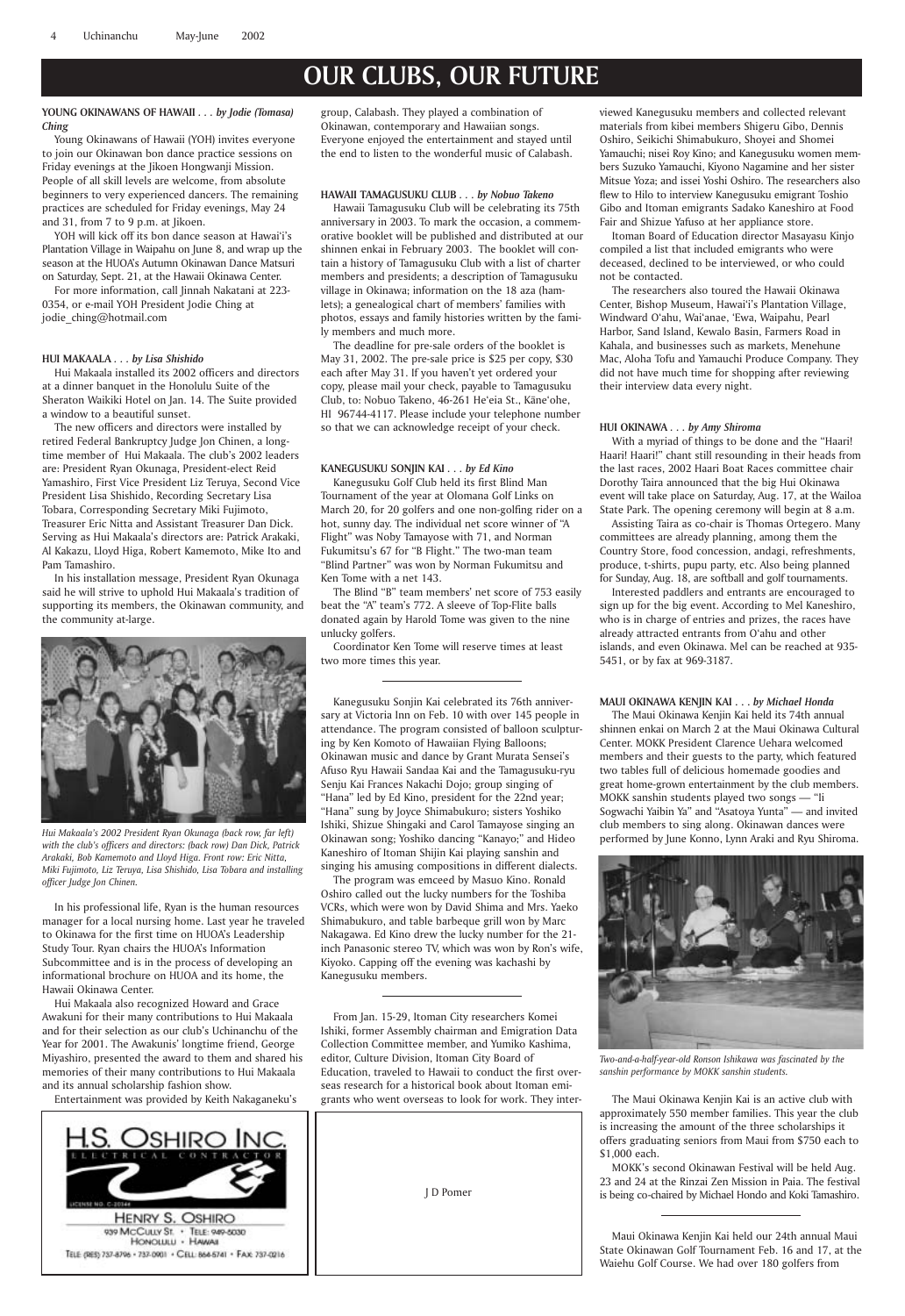## **OUR CLUBS, OUR FUTURE**

J D Pomer

#### **YOUNG OKINAWANS OF HAWAII** *. . . by Jodie (Tomasa) Ching*

Young Okinawans of Hawaii (YOH) invites everyone to join our Okinawan bon dance practice sessions on Friday evenings at the Jikoen Hongwanji Mission. People of all skill levels are welcome, from absolute beginners to very experienced dancers. The remaining practices are scheduled for Friday evenings, May 24 and 31, from 7 to 9 p.m. at Jikoen.

For more information, call Jinnah Nakatani at 223- 0354, or e-mail YOH President Jodie Ching at jodie\_ching@hotmail.com

YOH will kick off its bon dance season at Hawai'i's Plantation Village in Waipahu on June 8, and wrap up the season at the HUOA's Autumn Okinawan Dance Matsuri on Saturday, Sept. 21, at the Hawaii Okinawa Center.

#### **HUI MAKAALA** *. . . by Lisa Shishido*

Hui Makaala installed its 2002 officers and directors at a dinner banquet in the Honolulu Suite of the Sheraton Waikiki Hotel on Jan. 14. The Suite provided a window to a beautiful sunset.

The new officers and directors were installed by retired Federal Bankruptcy Judge Jon Chinen, a longtime member of Hui Makaala. The club's 2002 leaders are: President Ryan Okunaga, President-elect Reid Yamashiro, First Vice President Liz Teruya, Second Vice President Lisa Shishido, Recording Secretary Lisa Tobara, Corresponding Secretary Miki Fujimoto, Treasurer Eric Nitta and Assistant Treasurer Dan Dick. Serving as Hui Makaala's directors are: Patrick Arakaki, Al Kakazu, Lloyd Higa, Robert Kamemoto, Mike Ito and Pam Tamashiro.

In his installation message, President Ryan Okunaga said he will strive to uphold Hui Makaala's tradition of supporting its members, the Okinawan community, and the community at-large.

In his professional life, Ryan is the human resources manager for a local nursing home. Last year he traveled to Okinawa for the first time on HUOA's Leadership Study Tour. Ryan chairs the HUOA's Information Subcommittee and is in the process of developing an informational brochure on HUOA and its home, the Hawaii Okinawa Center.

Hui Makaala also recognized Howard and Grace Awakuni for their many contributions to Hui Makaala and for their selection as our club's Uchinanchu of the Year for 2001. The Awakunis' longtime friend, George Miyashiro, presented the award to them and shared his memories of their many contributions to Hui Makaala and its annual scholarship fashion show.

Entertainment was provided by Keith Nakaganeku's

group, Calabash. They played a combination of Okinawan, contemporary and Hawaiian songs. Everyone enjoyed the entertainment and stayed until the end to listen to the wonderful music of Calabash.

#### **HAWAII TAMAGUSUKU CLUB** *. . . by Nobuo Takeno*

Hawaii Tamagusuku Club will be celebrating its 75th anniversary in 2003. To mark the occasion, a commemorative booklet will be published and distributed at our shinnen enkai in February 2003. The booklet will contain a history of Tamagusuku Club with a list of charter members and presidents; a description of Tamagusuku village in Okinawa; information on the 18 aza (hamlets); a genealogical chart of members' families with photos, essays and family histories written by the family members and much more.

The deadline for pre-sale orders of the booklet is May 31, 2002. The pre-sale price is \$25 per copy, \$30 each after May 31. If you haven't yet ordered your copy, please mail your check, payable to Tamagusuku Club, to: Nobuo Takeno, 46-261 He'eia St., Kāne'ohe, HI 96744-4117. Please include your telephone number so that we can acknowledge receipt of your check.

#### **KANEGUSUKU SONJIN KAI** *. . . by Ed Kino*

Kanegusuku Golf Club held its first Blind Man Tournament of the year at Olomana Golf Links on March 20, for 20 golfers and one non-golfing rider on a hot, sunny day. The individual net score winner of "A Flight" was Noby Tamayose with 71, and Norman Fukumitsu's 67 for "B Flight." The two-man team "Blind Partner" was won by Norman Fukumitsu and Ken Tome with a net 143.

The Blind "B" team members' net score of 753 easily beat the "A" team's 772. A sleeve of Top-Flite balls donated again by Harold Tome was given to the nine unlucky golfers.

Coordinator Ken Tome will reserve times at least two more times this year.

Kanegusuku Sonjin Kai celebrated its 76th anniversary at Victoria Inn on Feb. 10 with over 145 people in attendance. The program consisted of balloon sculpturing by Ken Komoto of Hawaiian Flying Balloons; Okinawan music and dance by Grant Murata Sensei's Afuso Ryu Hawaii Sandaa Kai and the Tamagusuku-ryu Senju Kai Frances Nakachi Dojo; group singing of "Hana" led by Ed Kino, president for the 22nd year; "Hana" sung by Joyce Shimabukuro; sisters Yoshiko Ishiki, Shizue Shingaki and Carol Tamayose singing an Okinawan song; Yoshiko dancing "Kanayo;" and Hideo Kaneshiro of Itoman Shijin Kai playing sanshin and singing his amusing compositions in different dialects.

The program was emceed by Masuo Kino. Ronald Oshiro called out the lucky numbers for the Toshiba VCRs, which were won by David Shima and Mrs. Yaeko Shimabukuro, and table barbeque grill won by Marc Nakagawa. Ed Kino drew the lucky number for the 21 inch Panasonic stereo TV, which was won by Ron's wife, Kiyoko. Capping off the evening was kachashi by Kanegusuku members.

From Jan. 15-29, Itoman City researchers Komei



viewed Kanegusuku members and collected relevant materials from kibei members Shigeru Gibo, Dennis Oshiro, Seikichi Shimabukuro, Shoyei and Shomei Yamauchi; nisei Roy Kino; and Kanegusuku women members Suzuko Yamauchi, Kiyono Nagamine and her sister Mitsue Yoza; and issei Yoshi Oshiro. The researchers also flew to Hilo to interview Kanegusuku emigrant Toshio Gibo and Itoman emigrants Sadako Kaneshiro at Food Fair and Shizue Yafuso at her appliance store.

Itoman Board of Education director Masayasu Kinjo compiled a list that included emigrants who were deceased, declined to be interviewed, or who could not be contacted.

The researchers also toured the Hawaii Okinawa Center, Bishop Museum, Hawai'i's Plantation Village, Windward O'ahu, Wai'anae, 'Ewa, Waipahu, Pearl Harbor, Sand Island, Kewalo Basin, Farmers Road in Kahala, and businesses such as markets, Menehune Mac, Aloha Tofu and Yamauchi Produce Company. They did not have much time for shopping after reviewing their interview data every night.

#### **HUI OKINAWA** *. . . by Amy Shiroma*

With a myriad of things to be done and the "Haari! Haari! Haari!" chant still resounding in their heads from the last races, 2002 Haari Boat Races committee chair Dorothy Taira announced that the big Hui Okinawa event will take place on Saturday, Aug. 17, at the Wailoa State Park. The opening ceremony will begin at 8 a.m.

Assisting Taira as co-chair is Thomas Ortegero. Many committees are already planning, among them the Country Store, food concession, andagi, refreshments, produce, t-shirts, pupu party, etc. Also being planned for Sunday, Aug. 18, are softball and golf tournaments.

Interested paddlers and entrants are encouraged to sign up for the big event. According to Mel Kaneshiro, who is in charge of entries and prizes, the races have already attracted entrants from O'ahu and other islands, and even Okinawa. Mel can be reached at 935- 5451, or by fax at 969-3187.

#### **MAUI OKINAWA KENJIN KAI . . .** *by Michael Honda*

The Maui Okinawa Kenjin Kai held its 74th annual shinnen enkai on March 2 at the Maui Okinawa Cultural Center. MOKK President Clarence Uehara welcomed members and their guests to the party, which featured two tables full of delicious homemade goodies and great home-grown entertainment by the club members. MOKK sanshin students played two songs — "Ii Sogwachi Yaibin Ya" and "Asatoya Yunta" — and invited club members to sing along. Okinawan dances were performed by June Konno, Lynn Araki and Ryu Shiroma.



The Maui Okinawa Kenjin Kai is an active club with approximately 550 member families. This year the club is increasing the amount of the three scholarships it offers graduating seniors from Maui from \$750 each to \$1,000 each.

MOKK's second Okinawan Festival will be held Aug. 23 and 24 at the Rinzai Zen Mission in Paia. The festival is being co-chaired by Michael Hondo and Koki Tamashiro.

Maui Okinawa Kenjin Kai held our 24th annual Maui State Okinawan Golf Tournament Feb. 16 and 17, at the Waiehu Golf Course. We had over 180 golfers from





*Hui Makaala's 2002 President Ryan Okunaga (back row, far left) with the club's officers and directors: (back row) Dan Dick, Patrick Arakaki, Bob Kamemoto and Lloyd Higa. Front row: Eric Nitta, Miki Fujimoto, Liz Teruya, Lisa Shishido, Lisa Tobara and installing officer Judge Jon Chinen.*

*Two-and-a-half-year-old Ronson Ishikawa was fascinated by the sanshin performance by MOKK sanshin students.*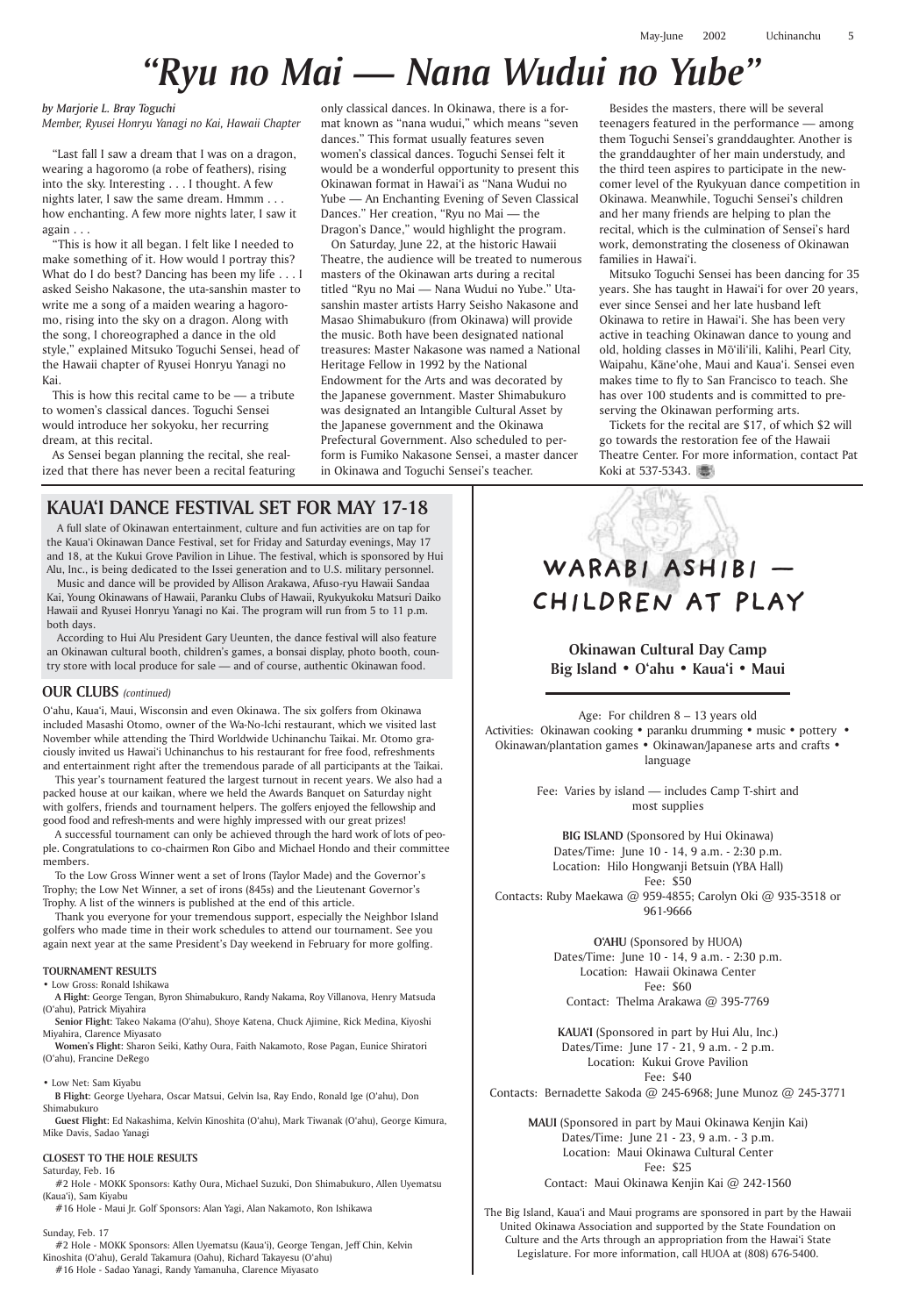#### *by Marjorie L. Bray Toguchi*

*Member, Ryusei Honryu Yanagi no Kai, Hawaii Chapter*

"Last fall I saw a dream that I was on a dragon, wearing a hagoromo (a robe of feathers), rising into the sky. Interesting . . . I thought. A few nights later, I saw the same dream. Hmmm . . . how enchanting. A few more nights later, I saw it again . . .

"This is how it all began. I felt like I needed to make something of it. How would I portray this? What do I do best? Dancing has been my life . . . I asked Seisho Nakasone, the uta-sanshin master to write me a song of a maiden wearing a hagoromo, rising into the sky on a dragon. Along with the song, I choreographed a dance in the old style," explained Mitsuko Toguchi Sensei, head of the Hawaii chapter of Ryusei Honryu Yanagi no Kai.

This is how this recital came to be — a tribute to women's classical dances. Toguchi Sensei would introduce her sokyoku, her recurring dream, at this recital.

As Sensei began planning the recital, she realized that there has never been a recital featuring

# *"Ryu no Mai — Nana Wudui no Yube"*

## **WARABI ASHIBI — CHILDREN AT PLAY**

**Okinawan Cultural Day Camp Big Island • O'ahu • Kaua'i • Maui**

Age: For children 8 – 13 years old Activities: Okinawan cooking • paranku drumming • music • pottery • Okinawan/plantation games • Okinawan/Japanese arts and crafts • language

> Fee: Varies by island — includes Camp T-shirt and most supplies

**BIG ISLAND** (Sponsored by Hui Okinawa) Dates/Time: June 10 - 14, 9 a.m. - 2:30 p.m. Location: Hilo Hongwanji Betsuin (YBA Hall) Fee: \$50 Contacts: Ruby Maekawa @ 959-4855; Carolyn Oki @ 935-3518 or 961-9666

> **O'AHU** (Sponsored by HUOA) Dates/Time: June 10 - 14, 9 a.m. - 2:30 p.m. Location: Hawaii Okinawa Center Fee: \$60 Contact: Thelma Arakawa @ 395-7769

**KAUA'I** (Sponsored in part by Hui Alu, Inc.) Dates/Time: June 17 - 21, 9 a.m. - 2 p.m. Location: Kukui Grove Pavilion Fee: \$40 Contacts: Bernadette Sakoda @ 245-6968; June Munoz @ 245-3771

> **MAUI** (Sponsored in part by Maui Okinawa Kenjin Kai) Dates/Time: June 21 - 23, 9 a.m. - 3 p.m. Location: Maui Okinawa Cultural Center Fee: \$25 Contact: Maui Okinawa Kenjin Kai @ 242-1560

The Big Island, Kaua'i and Maui programs are sponsored in part by the Hawaii United Okinawa Association and supported by the State Foundation on Culture and the Arts through an appropriation from the Hawai'i State Legislature. For more information, call HUOA at (808) 676-5400.

### **KAUA'I DANCE FESTIVAL SET FOR MAY 17-18**

A full slate of Okinawan entertainment, culture and fun activities are on tap for the Kaua'i Okinawan Dance Festival, set for Friday and Saturday evenings, May 17 and 18, at the Kukui Grove Pavilion in Lihue. The festival, which is sponsored by Hui Alu, Inc., is being dedicated to the Issei generation and to U.S. military personnel.

Tickets for the recital are \$17, of which \$2 will go towards the restoration fee of the Hawaii Theatre Center. For more information, contact Pat Koki at 537-5343.

Music and dance will be provided by Allison Arakawa, Afuso-ryu Hawaii Sandaa Kai, Young Okinawans of Hawaii, Paranku Clubs of Hawaii, Ryukyukoku Matsuri Daiko Hawaii and Ryusei Honryu Yanagi no Kai. The program will run from 5 to 11 p.m. both days.

According to Hui Alu President Gary Ueunten, the dance festival will also feature an Okinawan cultural booth, children's games, a bonsai display, photo booth, country store with local produce for sale — and of course, authentic Okinawan food.

only classical dances. In Okinawa, there is a format known as "nana wudui," which means "seven dances." This format usually features seven women's classical dances. Toguchi Sensei felt it would be a wonderful opportunity to present this Okinawan format in Hawai'i as "Nana Wudui no Yube — An Enchanting Evening of Seven Classical Dances." Her creation, "Ryu no Mai — the Dragon's Dance," would highlight the program.

On Saturday, June 22, at the historic Hawaii Theatre, the audience will be treated to numerous masters of the Okinawan arts during a recital titled "Ryu no Mai — Nana Wudui no Yube." Utasanshin master artists Harry Seisho Nakasone and Masao Shimabukuro (from Okinawa) will provide the music. Both have been designated national treasures: Master Nakasone was named a National Heritage Fellow in 1992 by the National Endowment for the Arts and was decorated by the Japanese government. Master Shimabukuro was designated an Intangible Cultural Asset by the Japanese government and the Okinawa Prefectural Government. Also scheduled to perform is Fumiko Nakasone Sensei, a master dancer in Okinawa and Toguchi Sensei's teacher.

Besides the masters, there will be several teenagers featured in the performance — among them Toguchi Sensei's granddaughter. Another is the granddaughter of her main understudy, and the third teen aspires to participate in the newcomer level of the Ryukyuan dance competition in Okinawa. Meanwhile, Toguchi Sensei's children and her many friends are helping to plan the recital, which is the culmination of Sensei's hard work, demonstrating the closeness of Okinawan families in Hawai'i.

Mitsuko Toguchi Sensei has been dancing for 35 years. She has taught in Hawai'i for over 20 years, ever since Sensei and her late husband left Okinawa to retire in Hawai'i. She has been very active in teaching Okinawan dance to young and old, holding classes in Mō'ili'ili, Kalihi, Pearl City, Waipahu, Kāne'ohe, Maui and Kaua'i. Sensei even makes time to fly to San Francisco to teach. She has over 100 students and is committed to preserving the Okinawan performing arts.

### **OUR CLUBS** *(continued)*

O'ahu, Kaua'i, Maui, Wisconsin and even Okinawa. The six golfers from Okinawa included Masashi Otomo, owner of the Wa-No-Ichi restaurant, which we visited last November while attending the Third Worldwide Uchinanchu Taikai. Mr. Otomo graciously invited us Hawai'i Uchinanchus to his restaurant for free food, refreshments and entertainment right after the tremendous parade of all participants at the Taikai.

This year's tournament featured the largest turnout in recent years. We also had a packed house at our kaikan, where we held the Awards Banquet on Saturday night with golfers, friends and tournament helpers. The golfers enjoyed the fellowship and good food and refresh-ments and were highly impressed with our great prizes!

A successful tournament can only be achieved through the hard work of lots of people. Congratulations to co-chairmen Ron Gibo and Michael Hondo and their committee members.

To the Low Gross Winner went a set of Irons (Taylor Made) and the Governor's Trophy; the Low Net Winner, a set of irons (845s) and the Lieutenant Governor's Trophy. A list of the winners is published at the end of this article.

Thank you everyone for your tremendous support, especially the Neighbor Island golfers who made time in their work schedules to attend our tournament. See you again next year at the same President's Day weekend in February for more golfing.

#### **TOURNAMENT RESULTS**

• Low Gross: Ronald Ishikawa

**A Flight:** George Tengan, Byron Shimabukuro, Randy Nakama, Roy Villanova, Henry Matsuda (O'ahu), Patrick Miyahira

**Senior Flight:** Takeo Nakama (O'ahu), Shoye Katena, Chuck Ajimine, Rick Medina, Kiyoshi

Miyahira, Clarence Miyasato

**Women's Flight:** Sharon Seiki, Kathy Oura, Faith Nakamoto, Rose Pagan, Eunice Shiratori (O'ahu), Francine DeRego

#### • Low Net: Sam Kiyabu

**B Flight:** George Uyehara, Oscar Matsui, Gelvin Isa, Ray Endo, Ronald Ige (O'ahu), Don Shimabukuro

**Guest Flight:** Ed Nakashima, Kelvin Kinoshita (O'ahu), Mark Tiwanak (O'ahu), George Kimura, Mike Davis, Sadao Yanagi

#### **CLOSEST TO THE HOLE RESULTS**

Saturday, Feb. 16

#2 Hole - MOKK Sponsors: Kathy Oura, Michael Suzuki, Don Shimabukuro, Allen Uyematsu (Kaua'i), Sam Kiyabu

#16 Hole - Maui Jr. Golf Sponsors: Alan Yagi, Alan Nakamoto, Ron Ishikawa

#### Sunday, Feb. 17

#2 Hole - MOKK Sponsors: Allen Uyematsu (Kaua'i), George Tengan, Jeff Chin, Kelvin Kinoshita (O'ahu), Gerald Takamura (Oahu), Richard Takayesu (O'ahu) #16 Hole - Sadao Yanagi, Randy Yamanuha, Clarence Miyasato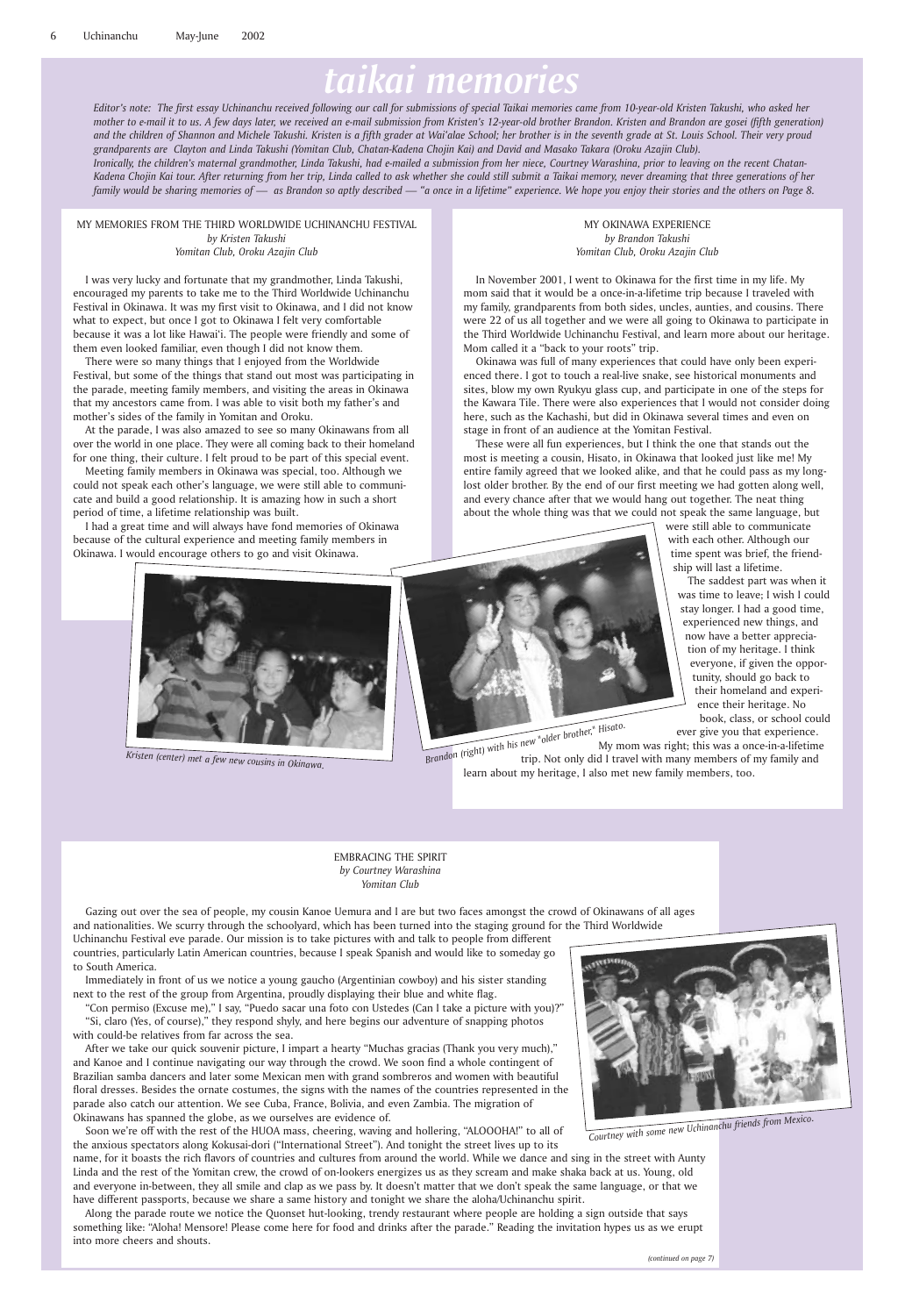## *taikai memories*

MY MEMORIES FROM THE THIRD WORLDWIDE UCHINANCHU FESTIVAL *by Kristen Takushi Yomitan Club, Oroku Azajin Club*

I was very lucky and fortunate that my grandmother, Linda Takushi, encouraged my parents to take me to the Third Worldwide Uchinanchu Festival in Okinawa. It was my first visit to Okinawa, and I did not know what to expect, but once I got to Okinawa I felt very comfortable because it was a lot like Hawai'i. The people were friendly and some of them even looked familiar, even though I did not know them.

There were so many things that I enjoyed from the Worldwide Festival, but some of the things that stand out most was participating in the parade, meeting family members, and visiting the areas in Okinawa that my ancestors came from. I was able to visit both my father's and mother's sides of the family in Yomitan and Oroku.

At the parade, I was also amazed to see so many Okinawans from all over the world in one place. They were all coming back to their homeland for one thing, their culture. I felt proud to be part of this special event.

Meeting family members in Okinawa was special, too. Although we could not speak each other's language, we were still able to communicate and build a good relationship. It is amazing how in such a short period of time, a lifetime relationship was built.

I had a great time and will always have fond memories of Okinawa because of the cultural experience and meeting family members in Okinawa. I would encourage others to go and visit Okinawa.

MY OKINAWA EXPERIENCE *by Brandon Takushi Yomitan Club, Oroku Azajin Club*

In November 2001, I went to Okinawa for the first time in my life. My mom said that it would be a once-in-a-lifetime trip because I traveled with my family, grandparents from both sides, uncles, aunties, and cousins. There were 22 of us all together and we were all going to Okinawa to participate in the Third Worldwide Uchinanchu Festival, and learn more about our heritage. Mom called it a "back to your roots" trip.

Okinawa was full of many experiences that could have only been experienced there. I got to touch a real-live snake, see historical monuments and sites, blow my own Ryukyu glass cup, and participate in one of the steps for the Kawara Tile. There were also experiences that I would not consider doing here, such as the Kachashi, but did in Okinawa several times and even on stage in front of an audience at the Yomitan Festival.

These were all fun experiences, but I think the one that stands out the most is meeting a cousin, Hisato, in Okinawa that looked just like me! My entire family agreed that we looked alike, and that he could pass as my longlost older brother. By the end of our first meeting we had gotten along well, and every chance after that we would hang out together. The neat thing about the whole thing was that we could not speak the same language, but

> were still able to communicate with each other. Although our time spent was brief, the friendship will last a lifetime.

The saddest part was when it was time to leave; I wish I could stay longer. I had a good time, experienced new things, and now have a better appreciation of my heritage. I think everyone, if given the opportunity, should go back to their homeland and experience their heritage. No book, class, or school could

ever give you that experience.

EMBRACING THE SPIRIT *by Courtney Warashina Yomitan Club*

Gazing out over the sea of people, my cousin Kanoe Uemura and I are but two faces amongst the crowd of Okinawans of all ages and nationalities. We scurry through the schoolyard, which has been turned into the staging ground for the Third Worldwide

Uchinanchu Festival eve parade. Our mission is to take pictures with and talk to people from different countries, particularly Latin American countries, because I speak Spanish and would like to someday go to South America.

Immediately in front of us we notice a young gaucho (Argentinian cowboy) and his sister standing next to the rest of the group from Argentina, proudly displaying their blue and white flag.

"Con permiso (Excuse me)," I say, "Puedo sacar una foto con Ustedes (Can I take a picture with you)?" "Si, claro (Yes, of course)," they respond shyly, and here begins our adventure of snapping photos



with could-be relatives from far across the sea.

My mom was right; this was a once-in-a-lifetime trip. Not only did I travel with many members of my family and learn about my heritage, I also met new family members, too. *Brandon (right) with his new "older brother," Hisato.*

After we take our quick souvenir picture, I impart a hearty "Muchas gracias (Thank you very much)," and Kanoe and I continue navigating our way through the crowd. We soon find a whole contingent of Brazilian samba dancers and later some Mexican men with grand sombreros and women with beautiful floral dresses. Besides the ornate costumes, the signs with the names of the countries represented in the parade also catch our attention. We see Cuba, France, Bolivia, and even Zambia. The migration of Okinawans has spanned the globe, as we ourselves are evidence of.

Soon we're off with the rest of the HUOA mass, cheering, waving and hollering, "ALOOOHA!" to all of the anxious spectators along Kokusai-dori ("International Street"). And tonight the street lives up to its

name, for it boasts the rich flavors of countries and cultures from around the world. While we dance and sing in the street with Aunty Linda and the rest of the Yomitan crew, the crowd of on-lookers energizes us as they scream and make shaka back at us. Young, old and everyone in-between, they all smile and clap as we pass by. It doesn't matter that we don't speak the same language, or that we have different passports, because we share a same history and tonight we share the aloha/Uchinanchu spirit.

Along the parade route we notice the Quonset hut-looking, trendy restaurant where people are holding a sign outside that says something like: "Aloha! Mensore! Please come here for food and drinks after the parade." Reading the invitation hypes us as we erupt into more cheers and shouts.

*Courtney with some new Uchinanchu friends from Mexico.*



*Kristen (center) met a few new cousins in Okinawa.*

*Editor's note: The first essay Uchinanchu received following our call for submissions of special Taikai memories came from 10-year-old Kristen Takushi, who asked her mother to e-mail it to us. A few days later, we received an e-mail submission from Kristen's 12-year-old brother Brandon. Kristen and Brandon are gosei (fifth generation) and the children of Shannon and Michele Takushi. Kristen is a fifth grader at Wai'alae School; her brother is in the seventh grade at St. Louis School. Their very proud grandparents are Clayton and Linda Takushi (Yomitan Club, Chatan-Kadena Chojin Kai) and David and Masako Takara (Oroku Azajin Club).*

*Ironically, the children's maternal grandmother, Linda Takushi, had e-mailed a submission from her niece, Courtney Warashina, prior to leaving on the recent Chatan-Kadena Chojin Kai tour. After returning from her trip, Linda called to ask whether she could still submit a Taikai memory, never dreaming that three generations of her family would be sharing memories of — as Brandon so aptly described — "a once in a lifetime" experience. We hope you enjoy their stories and the others on Page 8.*

*(continued on page 7)*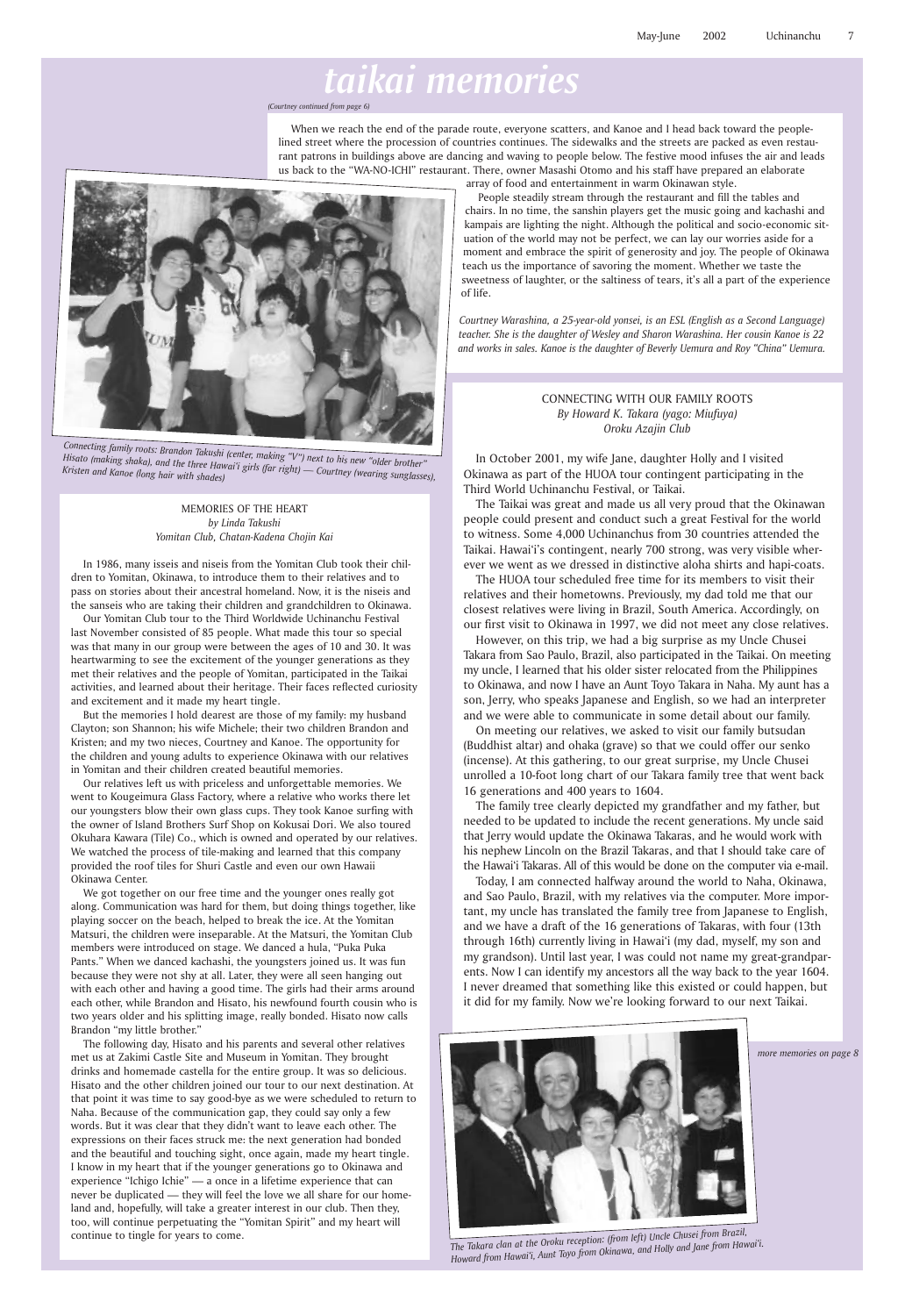## *taikai memories*

#### MEMORIES OF THE HEART *by Linda Takushi Yomitan Club, Chatan-Kadena Chojin Kai*

In 1986, many isseis and niseis from the Yomitan Club took their children to Yomitan, Okinawa, to introduce them to their relatives and to pass on stories about their ancestral homeland. Now, it is the niseis and the sanseis who are taking their children and grandchildren to Okinawa.

Our Yomitan Club tour to the Third Worldwide Uchinanchu Festival last November consisted of 85 people. What made this tour so special was that many in our group were between the ages of 10 and 30. It was heartwarming to see the excitement of the younger generations as they met their relatives and the people of Yomitan, participated in the Taikai activities, and learned about their heritage. Their faces reflected curiosity and excitement and it made my heart tingle.

But the memories I hold dearest are those of my family: my husband Clayton; son Shannon; his wife Michele; their two children Brandon and Kristen; and my two nieces, Courtney and Kanoe. The opportunity for the children and young adults to experience Okinawa with our relatives in Yomitan and their children created beautiful memories.

Our relatives left us with priceless and unforgettable memories. We went to Kougeimura Glass Factory, where a relative who works there let our youngsters blow their own glass cups. They took Kanoe surfing with the owner of Island Brothers Surf Shop on Kokusai Dori. We also toured Okuhara Kawara (Tile) Co., which is owned and operated by our relatives. We watched the process of tile-making and learned that this company provided the roof tiles for Shuri Castle and even our own Hawaii Okinawa Center.

We got together on our free time and the younger ones really got along. Communication was hard for them, but doing things together, like playing soccer on the beach, helped to break the ice. At the Yomitan Matsuri, the children were inseparable. At the Matsuri, the Yomitan Club members were introduced on stage. We danced a hula, "Puka Puka Pants." When we danced kachashi, the youngsters joined us. It was fun because they were not shy at all. Later, they were all seen hanging out with each other and having a good time. The girls had their arms around each other, while Brandon and Hisato, his newfound fourth cousin who is two years older and his splitting image, really bonded. Hisato now calls

The following day, Hisato and his parents and several other relatives met us at Zakimi Castle Site and Museum in Yomitan. They brought drinks and homemade castella for the entire group. It was so delicious. Hisato and the other children joined our tour to our next destination. At that point it was time to say good-bye as we were scheduled to return to Naha. Because of the communication gap, they could say only a few words. But it was clear that they didn't want to leave each other. The expressions on their faces struck me: the next generation had bonded and the beautiful and touching sight, once again, made my heart tingle. I know in my heart that if the younger generations go to Okinawa and experience "Ichigo Ichie" — a once in a lifetime experience that can never be duplicated — they will feel the love we all share for our homeland and, hopefully, will take a greater interest in our club. Then they, too, will continue perpetuating the "Yomitan Spirit" and my heart will continue to tingle for years to come.



*Connecting family roots: Brandon Takushi (center, making "V") next to his new "older brother" Hisato (making shaka), and the three Hawai'i girls (far right) — Courtney (wearing sunglasses), Kristen and Kanoe (long hair with shades)*

#### CONNECTING WITH OUR FAMILY ROOTS *By Howard K. Takara (yago: Miufuya) Oroku Azajin Club*

In October 2001, my wife Jane, daughter Holly and I visited Okinawa as part of the HUOA tour contingent participating in the Third World Uchinanchu Festival, or Taikai.

The Taikai was great and made us all very proud that the Okinawan people could present and conduct such a great Festival for the world to witness. Some 4,000 Uchinanchus from 30 countries attended the Taikai. Hawai'i's contingent, nearly 700 strong, was very visible wherever we went as we dressed in distinctive aloha shirts and hapi-coats.

The HUOA tour scheduled free time for its members to visit their relatives and their hometowns. Previously, my dad told me that our closest relatives were living in Brazil, South America. Accordingly, on our first visit to Okinawa in 1997, we did not meet any close relatives.

However, on this trip, we had a big surprise as my Uncle Chusei Takara from Sao Paulo, Brazil, also participated in the Taikai. On meeting my uncle, I learned that his older sister relocated from the Philippines to Okinawa, and now I have an Aunt Toyo Takara in Naha. My aunt has a son, Jerry, who speaks Japanese and English, so we had an interpreter and we were able to communicate in some detail about our family.

On meeting our relatives, we asked to visit our family butsudan (Buddhist altar) and ohaka (grave) so that we could offer our senko (incense). At this gathering, to our great surprise, my Uncle Chusei unrolled a 10-foot long chart of our Takara family tree that went back 16 generations and 400 years to 1604.

The family tree clearly depicted my grandfather and my father, but needed to be updated to include the recent generations. My uncle said that Jerry would update the Okinawa Takaras, and he would work with his nephew Lincoln on the Brazil Takaras, and that I should take care of the Hawai'i Takaras. All of this would be done on the computer via e-mail.

Today, I am connected halfway around the world to Naha, Okinawa, and Sao Paulo, Brazil, with my relatives via the computer. More important, my uncle has translated the family tree from Japanese to English, and we have a draft of the 16 generations of Takaras, with four (13th through 16th) currently living in Hawai'i (my dad, myself, my son and my grandson). Until last year, I was could not name my great-grandparents. Now I can identify my ancestors all the way back to the year 1604. I never dreamed that something like this existed or could happen, but it did for my family. Now we're looking forward to our next Taikai.

Brandon "my little brother.



*more memories on page 8*

When we reach the end of the parade route, everyone scatters, and Kanoe and I head back toward the peoplelined street where the procession of countries continues. The sidewalks and the streets are packed as even restaurant patrons in buildings above are dancing and waving to people below. The festive mood infuses the air and leads us back to the "WA-NO-ICHI" restaurant. There, owner Masashi Otomo and his staff have prepared an elaborate

array of food and entertainment in warm Okinawan style.

People steadily stream through the restaurant and fill the tables and chairs. In no time, the sanshin players get the music going and kachashi and kampais are lighting the night. Although the political and socio-economic situation of the world may not be perfect, we can lay our worries aside for a moment and embrace the spirit of generosity and joy. The people of Okinawa teach us the importance of savoring the moment. Whether we taste the sweetness of laughter, or the saltiness of tears, it's all a part of the experience of life.

*Courtney Warashina, a 25-year-old yonsei, is an ESL (English as a Second Language) teacher. She is the daughter of Wesley and Sharon Warashina. Her cousin Kanoe is 22 and works in sales. Kanoe is the daughter of Beverly Uemura and Roy "China" Uemura.*

#### *(Courtney continued from page 6)*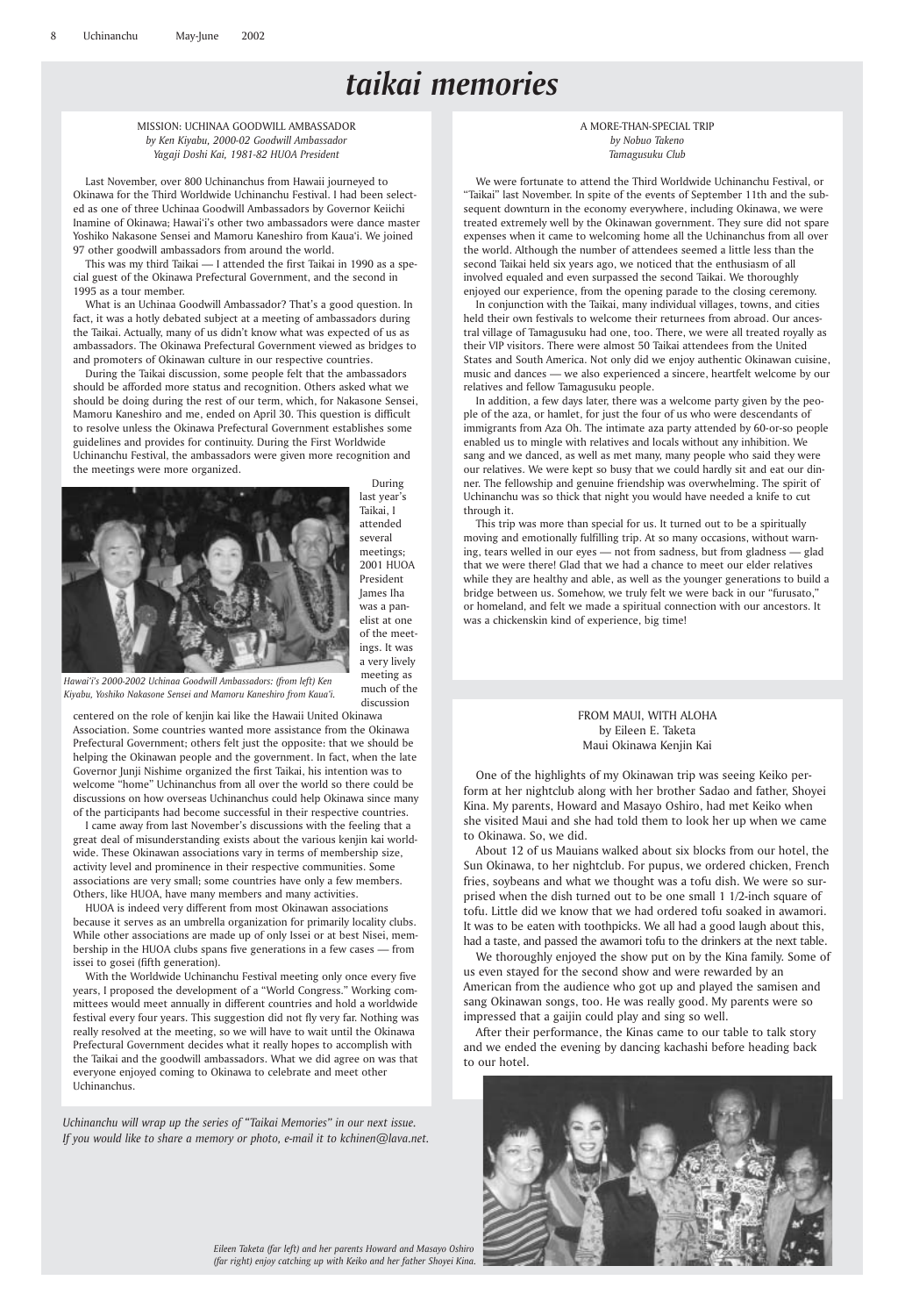## *taikai memories*

#### MISSION: UCHINAA GOODWILL AMBASSADOR *by Ken Kiyabu, 2000-02 Goodwill Ambassador Yagaji Doshi Kai, 1981-82 HUOA President*

Last November, over 800 Uchinanchus from Hawaii journeyed to Okinawa for the Third Worldwide Uchinanchu Festival. I had been selected as one of three Uchinaa Goodwill Ambassadors by Governor Keiichi Inamine of Okinawa; Hawai'i's other two ambassadors were dance master Yoshiko Nakasone Sensei and Mamoru Kaneshiro from Kaua'i. We joined 97 other goodwill ambassadors from around the world.

This was my third Taikai — I attended the first Taikai in 1990 as a special guest of the Okinawa Prefectural Government, and the second in 1995 as a tour member.

What is an Uchinaa Goodwill Ambassador? That's a good question. In fact, it was a hotly debated subject at a meeting of ambassadors during the Taikai. Actually, many of us didn't know what was expected of us as ambassadors. The Okinawa Prefectural Government viewed as bridges to and promoters of Okinawan culture in our respective countries.

During the Taikai discussion, some people felt that the ambassadors should be afforded more status and recognition. Others asked what we should be doing during the rest of our term, which, for Nakasone Sensei, Mamoru Kaneshiro and me, ended on April 30. This question is difficult to resolve unless the Okinawa Prefectural Government establishes some guidelines and provides for continuity. During the First Worldwide Uchinanchu Festival, the ambassadors were given more recognition and the meetings were more organized.



During last year's Taikai, I attended several meetings; 2001 HUOA President James Iha was a panelist at one of the meetings. It was a very lively meeting as much of the discussion

centered on the role of kenjin kai like the Hawaii United Okinawa Association. Some countries wanted more assistance from the Okinawa Prefectural Government; others felt just the opposite: that we should be helping the Okinawan people and the government. In fact, when the late Governor Junji Nishime organized the first Taikai, his intention was to welcome "home" Uchinanchus from all over the world so there could be discussions on how overseas Uchinanchus could help Okinawa since many of the participants had become successful in their respective countries.

I came away from last November's discussions with the feeling that a great deal of misunderstanding exists about the various kenjin kai worldwide. These Okinawan associations vary in terms of membership size, activity level and prominence in their respective communities. Some associations are very small; some countries have only a few members. Others, like HUOA, have many members and many activities.

HUOA is indeed very different from most Okinawan associations because it serves as an umbrella organization for primarily locality clubs. While other associations are made up of only Issei or at best Nisei, membership in the HUOA clubs spans five generations in a few cases — from issei to gosei (fifth generation).

With the Worldwide Uchinanchu Festival meeting only once every five years, I proposed the development of a "World Congress." Working committees would meet annually in different countries and hold a worldwide festival every four years. This suggestion did not fly very far. Nothing was really resolved at the meeting, so we will have to wait until the Okinawa Prefectural Government decides what it really hopes to accomplish with the Taikai and the goodwill ambassadors. What we did agree on was that everyone enjoyed coming to Okinawa to celebrate and meet other Uchinanchus.

#### A MORE-THAN-SPECIAL TRIP *by Nobuo Takeno Tamagusuku Club*

We were fortunate to attend the Third Worldwide Uchinanchu Festival, or "Taikai" last November. In spite of the events of September 11th and the subsequent downturn in the economy everywhere, including Okinawa, we were treated extremely well by the Okinawan government. They sure did not spare expenses when it came to welcoming home all the Uchinanchus from all over the world. Although the number of attendees seemed a little less than the second Taikai held six years ago, we noticed that the enthusiasm of all involved equaled and even surpassed the second Taikai. We thoroughly enjoyed our experience, from the opening parade to the closing ceremony.

In conjunction with the Taikai, many individual villages, towns, and cities held their own festivals to welcome their returnees from abroad. Our ancestral village of Tamagusuku had one, too. There, we were all treated royally as their VIP visitors. There were almost 50 Taikai attendees from the United States and South America. Not only did we enjoy authentic Okinawan cuisine, music and dances — we also experienced a sincere, heartfelt welcome by our relatives and fellow Tamagusuku people.

In addition, a few days later, there was a welcome party given by the people of the aza, or hamlet, for just the four of us who were descendants of immigrants from Aza Oh. The intimate aza party attended by 60-or-so people enabled us to mingle with relatives and locals without any inhibition. We sang and we danced, as well as met many, many people who said they were our relatives. We were kept so busy that we could hardly sit and eat our dinner. The fellowship and genuine friendship was overwhelming. The spirit of Uchinanchu was so thick that night you would have needed a knife to cut through it.

This trip was more than special for us. It turned out to be a spiritually moving and emotionally fulfilling trip. At so many occasions, without warning, tears welled in our eyes — not from sadness, but from gladness — glad that we were there! Glad that we had a chance to meet our elder relatives while they are healthy and able, as well as the younger generations to build a bridge between us. Somehow, we truly felt we were back in our "furusato," or homeland, and felt we made a spiritual connection with our ancestors. It was a chickenskin kind of experience, big time!

*Hawai'i's 2000-2002 Uchinaa Goodwill Ambassadors: (from left) Ken Kiyabu, Yoshiko Nakasone Sensei and Mamoru Kaneshiro from Kaua'i.*

#### FROM MAUI, WITH ALOHA by Eileen E. Taketa Maui Okinawa Kenjin Kai

One of the highlights of my Okinawan trip was seeing Keiko perform at her nightclub along with her brother Sadao and father, Shoyei Kina. My parents, Howard and Masayo Oshiro, had met Keiko when she visited Maui and she had told them to look her up when we came to Okinawa. So, we did.

About 12 of us Mauians walked about six blocks from our hotel, the Sun Okinawa, to her nightclub. For pupus, we ordered chicken, French fries, soybeans and what we thought was a tofu dish. We were so surprised when the dish turned out to be one small 1 1/2-inch square of tofu. Little did we know that we had ordered tofu soaked in awamori. It was to be eaten with toothpicks. We all had a good laugh about this, had a taste, and passed the awamori tofu to the drinkers at the next table.

We thoroughly enjoyed the show put on by the Kina family. Some of us even stayed for the second show and were rewarded by an American from the audience who got up and played the samisen and sang Okinawan songs, too. He was really good. My parents were so impressed that a gaijin could play and sing so well. After their performance, the Kinas came to our table to talk story and we ended the evening by dancing kachashi before heading back to our hotel.

*Eileen Taketa (far left) and her parents Howard and Masayo Oshiro (far right) enjoy catching up with Keiko and her father Shoyei Kina.*



*Uchinanchu will wrap up the series of "Taikai Memories" in our next issue. If you would like to share a memory or photo, e-mail it to kchinen@lava.net.*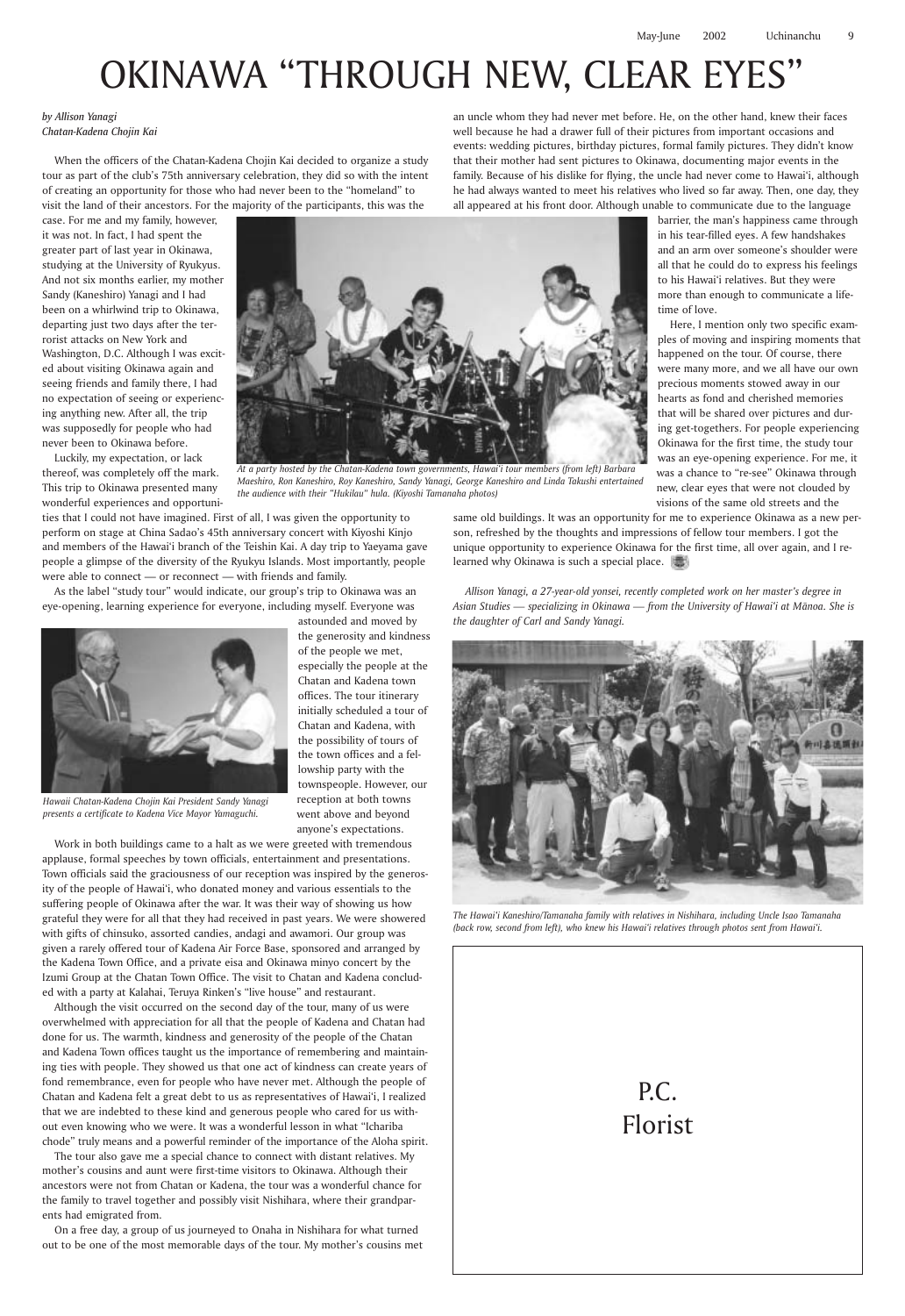## P.C. Florist

an uncle whom they had never met before. He, on the other hand, knew their faces well because he had a drawer full of their pictures from important occasions and events: wedding pictures, birthday pictures, formal family pictures. They didn't know that their mother had sent pictures to Okinawa, documenting major events in the family. Because of his dislike for flying, the uncle had never come to Hawai'i, although

he had always wanted to meet his relatives who lived so far away. Then, one day, they all appeared at his front door. Although unable to communicate due to the language barrier, the man's happiness came through in his tear-filled eyes. A few handshakes and an arm over someone's shoulder were all that he could do to express his feelings to his Hawai'i relatives. But they were more than enough to communicate a life-

same old buildings. It was an opportunity for me to experience Okinawa as a new person, refreshed by the thoughts and impressions of fellow tour members. I got the unique opportunity to experience Okinawa for the first time, all over again, and I relearned why Okinawa is such a special place.

time of love.

Here, I mention only two specific examples of moving and inspiring moments that happened on the tour. Of course, there were many more, and we all have our own precious moments stowed away in our hearts as fond and cherished memories that will be shared over pictures and during get-togethers. For people experiencing Okinawa for the first time, the study tour was an eye-opening experience. For me, it was a chance to "re-see" Okinawa through new, clear eyes that were not clouded by visions of the same old streets and the

*Allison Yanagi, a 27-year-old yonsei, recently completed work on her master's degree in Asian Studies — specializing in Okinawa — from the University of Hawai'i at Mānoa. She is the daughter of Carl and Sandy Yanagi.*

#### *by Allison Yanagi Chatan-Kadena Chojin Kai*

When the officers of the Chatan-Kadena Chojin Kai decided to organize a study tour as part of the club's 75th anniversary celebration, they did so with the intent of creating an opportunity for those who had never been to the "homeland" to visit the land of their ancestors. For the majority of the participants, this was the

case. For me and my family, however, it was not. In fact, I had spent the greater part of last year in Okinawa, studying at the University of Ryukyus. And not six months earlier, my mother Sandy (Kaneshiro) Yanagi and I had been on a whirlwind trip to Okinawa, departing just two days after the terrorist attacks on New York and Washington, D.C. Although I was excited about visiting Okinawa again and seeing friends and family there, I had no expectation of seeing or experiencing anything new. After all, the trip was supposedly for people who had never been to Okinawa before.

Luckily, my expectation, or lack thereof, was completely off the mark. This trip to Okinawa presented many wonderful experiences and opportuni-

ties that I could not have imagined. First of all, I was given the opportunity to perform on stage at China Sadao's 45th anniversary concert with Kiyoshi Kinjo and members of the Hawai'i branch of the Teishin Kai. A day trip to Yaeyama gave people a glimpse of the diversity of the Ryukyu Islands. Most importantly, people were able to connect — or reconnect — with friends and family.

As the label "study tour" would indicate, our group's trip to Okinawa was an eye-opening, learning experience for everyone, including myself. Everyone was

> astounded and moved by the generosity and kindness of the people we met, especially the people at the Chatan and Kadena town offices. The tour itinerary initially scheduled a tour of Chatan and Kadena, with the possibility of tours of the town offices and a fellowship party with the townspeople. However, our reception at both towns went above and beyond anyone's expectations.

Work in both buildings came to a halt as we were greeted with tremendous applause, formal speeches by town officials, entertainment and presentations. Town officials said the graciousness of our reception was inspired by the generosity of the people of Hawai'i, who donated money and various essentials to the suffering people of Okinawa after the war. It was their way of showing us how grateful they were for all that they had received in past years. We were showered with gifts of chinsuko, assorted candies, andagi and awamori. Our group was given a rarely offered tour of Kadena Air Force Base, sponsored and arranged by the Kadena Town Office, and a private eisa and Okinawa minyo concert by the Izumi Group at the Chatan Town Office. The visit to Chatan and Kadena concluded with a party at Kalahai, Teruya Rinken's "live house" and restaurant.

Although the visit occurred on the second day of the tour, many of us were overwhelmed with appreciation for all that the people of Kadena and Chatan had

done for us. The warmth, kindness and generosity of the people of the Chatan and Kadena Town offices taught us the importance of remembering and maintaining ties with people. They showed us that one act of kindness can create years of fond remembrance, even for people who have never met. Although the people of Chatan and Kadena felt a great debt to us as representatives of Hawai'i, I realized that we are indebted to these kind and generous people who cared for us without even knowing who we were. It was a wonderful lesson in what "Ichariba chode" truly means and a powerful reminder of the importance of the Aloha spirit.

The tour also gave me a special chance to connect with distant relatives. My mother's cousins and aunt were first-time visitors to Okinawa. Although their ancestors were not from Chatan or Kadena, the tour was a wonderful chance for the family to travel together and possibly visit Nishihara, where their grandparents had emigrated from.

On a free day, a group of us journeyed to Onaha in Nishihara for what turned out to be one of the most memorable days of the tour. My mother's cousins met

# OKINAWA "THROUGH NEW, CLEAR EYES"



*At a party hosted by the Chatan-Kadena town governments, Hawai'i tour members (from left) Barbara Maeshiro, Ron Kaneshiro, Roy Kaneshiro, Sandy Yanagi, George Kaneshiro and Linda Takushi entertained the audience with their "Hukilau" hula. (Kiyoshi Tamanaha photos)*



*Hawaii Chatan-Kadena Chojin Kai President Sandy Yanagi presents a certificate to Kadena Vice Mayor Yamaguchi.*



*The Hawai'i Kaneshiro/Tamanaha family with relatives in Nishihara, including Uncle Isao Tamanaha (back row, second from left), who knew his Hawai'i relatives through photos sent from Hawai'i.*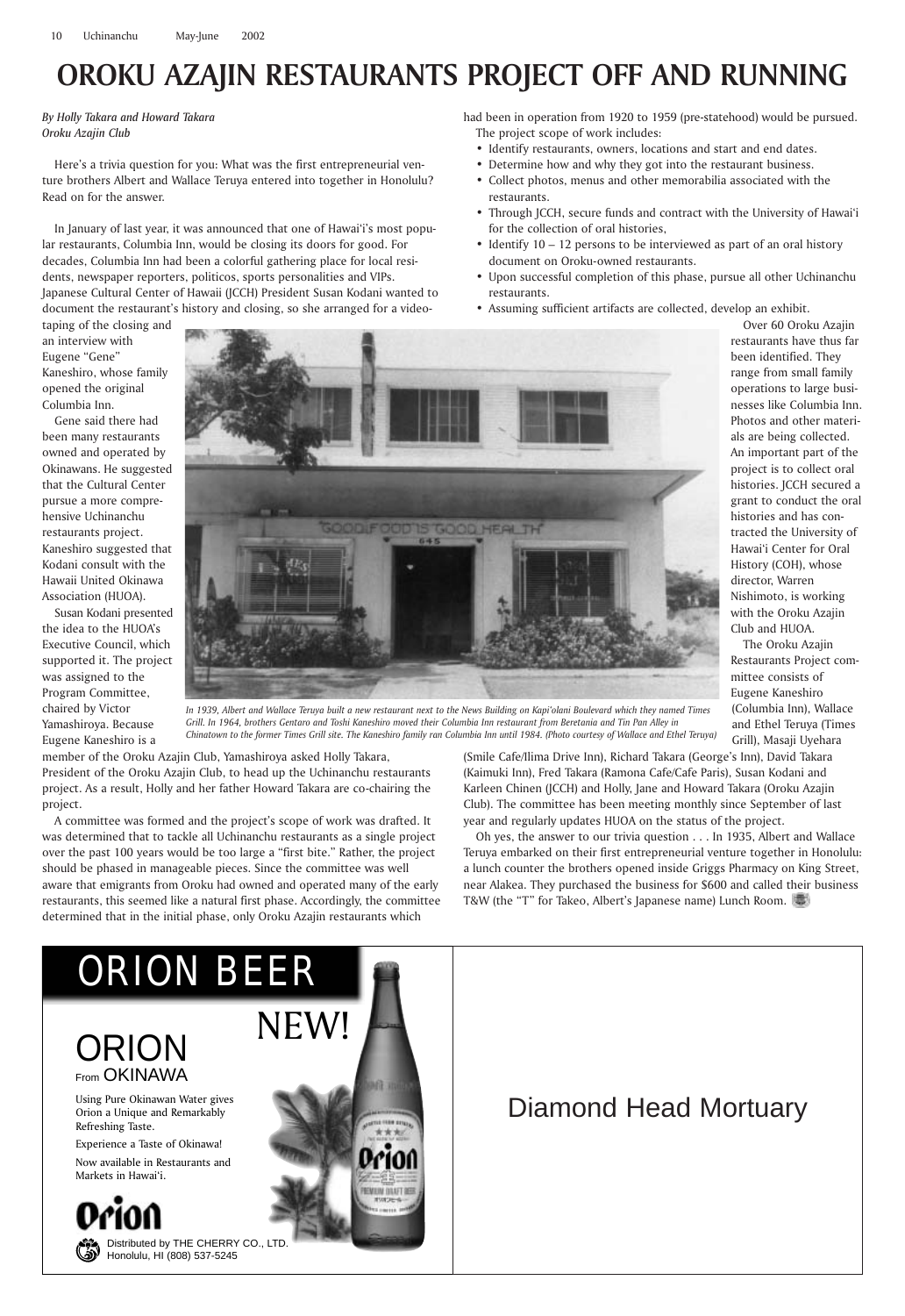# From OKINAWA

Distributed by THE CHERRY CO., LTD. کی Honolulu, HI (808) 537-5245



Using Pure Okinawan Water gives Orion a Unique and Remarkably Refreshing Taste.



Experience a Taste of Okinawa!

Now available in Restaurants and Markets in Hawai'i.

## Diamond Head Mortuary

*By Holly Takara and Howard Takara Oroku Azajin Club*

Here's a trivia question for you: What was the first entrepreneurial venture brothers Albert and Wallace Teruya entered into together in Honolulu? Read on for the answer.

In January of last year, it was announced that one of Hawai'i's most popular restaurants, Columbia Inn, would be closing its doors for good. For decades, Columbia Inn had been a colorful gathering place for local residents, newspaper reporters, politicos, sports personalities and VIPs. Japanese Cultural Center of Hawaii (JCCH) President Susan Kodani wanted to document the restaurant's history and closing, so she arranged for a video-

taping of the closing and an interview with Eugene "Gene" Kaneshiro, whose family opened the original Columbia Inn.

Gene said there had been many restaurants owned and operated by Okinawans. He suggested that the Cultural Center pursue a more comprehensive Uchinanchu restaurants project. Kaneshiro suggested that Kodani consult with the Hawaii United Okinawa Association (HUOA).

Susan Kodani presented the idea to the HUOA's Executive Council, which supported it. The project was assigned to the Program Committee, chaired by Victor Yamashiroya. Because Eugene Kaneshiro is a

member of the Oroku Azajin Club, Yamashiroya asked Holly Takara, President of the Oroku Azajin Club, to head up the Uchinanchu restaurants project. As a result, Holly and her father Howard Takara are co-chairing the project.

> Oh yes, the answer to our trivia question . . . In 1935, Albert and Wallace Teruya embarked on their first entrepreneurial venture together in Honolulu: a lunch counter the brothers opened inside Griggs Pharmacy on King Street, near Alakea. They purchased the business for \$600 and called their business T&W (the "T" for Takeo, Albert's Japanese name) Lunch Room.

A committee was formed and the project's scope of work was drafted. It was determined that to tackle all Uchinanchu restaurants as a single project over the past 100 years would be too large a "first bite." Rather, the project should be phased in manageable pieces. Since the committee was well aware that emigrants from Oroku had owned and operated many of the early restaurants, this seemed like a natural first phase. Accordingly, the committee determined that in the initial phase, only Oroku Azajin restaurants which

had been in operation from 1920 to 1959 (pre-statehood) would be pursued. The project scope of work includes:

- Identify restaurants, owners, locations and start and end dates.
- Determine how and why they got into the restaurant business.
- Collect photos, menus and other memorabilia associated with the restaurants.
- Through JCCH, secure funds and contract with the University of Hawai'i for the collection of oral histories,
- Identify 10 12 persons to be interviewed as part of an oral history document on Oroku-owned restaurants.
- Upon successful completion of this phase, pursue all other Uchinanchu restaurants.
- Assuming sufficient artifacts are collected, develop an exhibit.

Over 60 Oroku Azajin restaurants have thus far been identified. They range from small family operations to large businesses like Columbia Inn. Photos and other materials are being collected. An important part of the project is to collect oral histories. JCCH secured a grant to conduct the oral histories and has contracted the University of Hawai'i Center for Oral History (COH), whose director, Warren Nishimoto, is working with the Oroku Azajin Club and HUOA.

The Oroku Azajin Restaurants Project committee consists of Eugene Kaneshiro (Columbia Inn), Wallace and Ethel Teruya (Times Grill), Masaji Uyehara

(Smile Cafe/Ilima Drive Inn), Richard Takara (George's Inn), David Takara (Kaimuki Inn), Fred Takara (Ramona Cafe/Cafe Paris), Susan Kodani and Karleen Chinen (JCCH) and Holly, Jane and Howard Takara (Oroku Azajin Club). The committee has been meeting monthly since September of last year and regularly updates HUOA on the status of the project.

## **OROKU AZAJIN RESTAURANTS PROJECT OFF AND RUNNING**



*In 1939, Albert and Wallace Teruya built a new restaurant next to the News Building on Kapi'olani Boulevard which they named Times Grill. In 1964, brothers Gentaro and Toshi Kaneshiro moved their Columbia Inn restaurant from Beretania and Tin Pan Alley in Chinatown to the former Times Grill site. The Kaneshiro family ran Columbia Inn until 1984. (Photo courtesy of Wallace and Ethel Teruya)*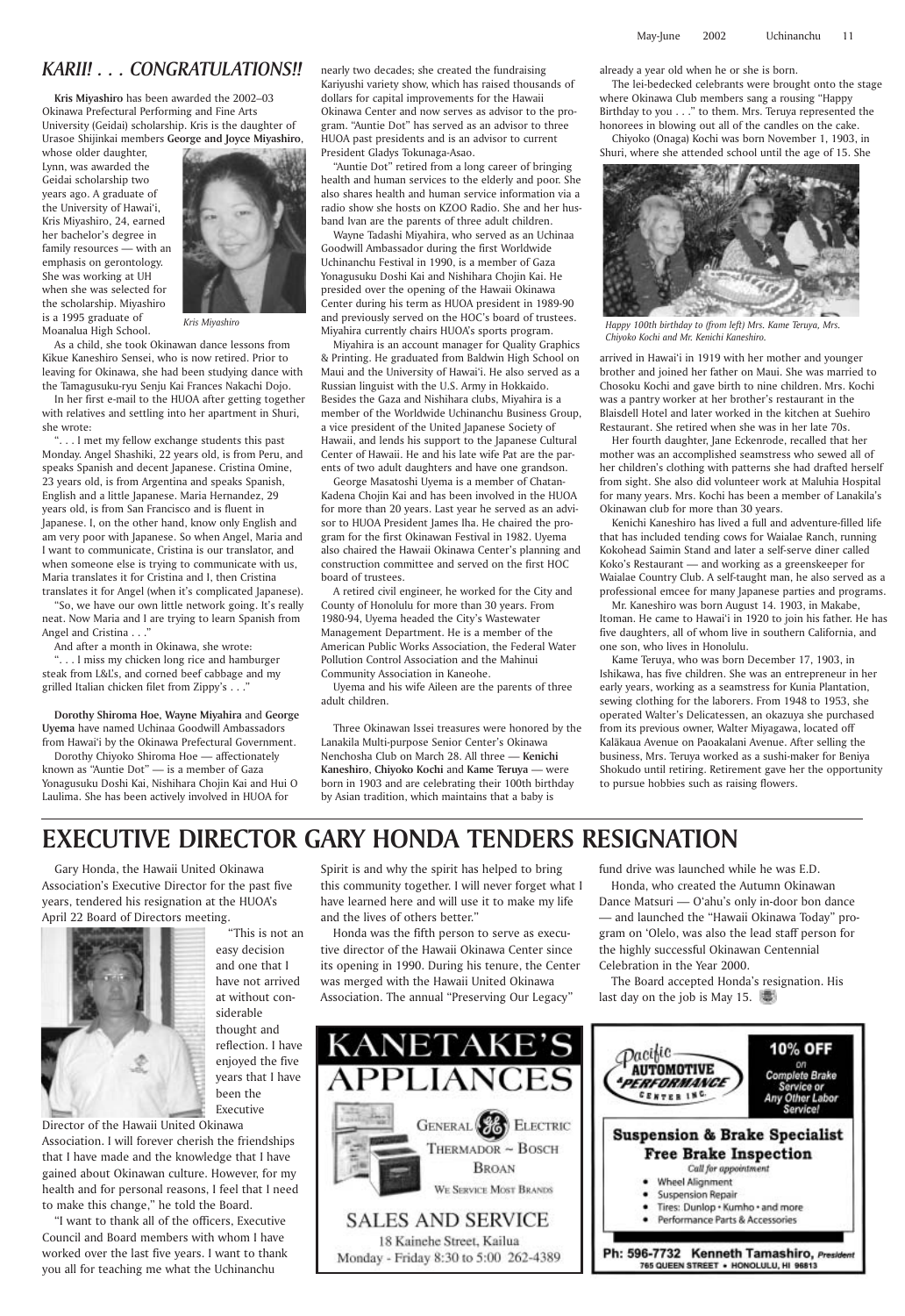### *KARII! . . . CONGRATULATIONS!!*

**Kris Miyashiro** has been awarded the 2002–03 Okinawa Prefectural Performing and Fine Arts University (Geidai) scholarship. Kris is the daughter of Urasoe Shijinkai members **George and Joyce Miyashiro**,

whose older daughter, Lynn, was awarded the Geidai scholarship two years ago. A graduate of the University of Hawai'i, Kris Miyashiro, 24, earned her bachelor's degree in family resources — with an emphasis on gerontology. She was working at UH when she was selected for the scholarship. Miyashiro is a 1995 graduate of Moanalua High School.



As a child, she took Okinawan dance lessons from Kikue Kaneshiro Sensei, who is now retired. Prior to leaving for Okinawa, she had been studying dance with the Tamagusuku-ryu Senju Kai Frances Nakachi Dojo.

In her first e-mail to the HUOA after getting together with relatives and settling into her apartment in Shuri, she wrote:

". . . I met my fellow exchange students this past Monday. Angel Shashiki, 22 years old, is from Peru, and speaks Spanish and decent Japanese. Cristina Omine, 23 years old, is from Argentina and speaks Spanish, English and a little Japanese. Maria Hernandez, 29 years old, is from San Francisco and is fluent in Japanese. I, on the other hand, know only English and am very poor with Japanese. So when Angel, Maria and I want to communicate, Cristina is our translator, and when someone else is trying to communicate with us, Maria translates it for Cristina and I, then Cristina translates it for Angel (when it's complicated Japanese).

"So, we have our own little network going. It's really neat. Now Maria and I are trying to learn Spanish from Angel and Cristina . . ."

And after a month in Okinawa, she wrote:

". . . I miss my chicken long rice and hamburger steak from L&L's, and corned beef cabbage and my grilled Italian chicken filet from Zippy's . . ."

**Dorothy Shiroma Hoe, Wayne Miyahira** and **George Uyema** have named Uchinaa Goodwill Ambassadors from Hawai'i by the Okinawa Prefectural Government.

Dorothy Chiyoko Shiroma Hoe — affectionately known as "Auntie Dot" — is a member of Gaza Yonagusuku Doshi Kai, Nishihara Chojin Kai and Hui O Laulima. She has been actively involved in HUOA for

nearly two decades; she created the fundraising Kariyushi variety show, which has raised thousands of dollars for capital improvements for the Hawaii Okinawa Center and now serves as advisor to the program. "Auntie Dot" has served as an advisor to three HUOA past presidents and is an advisor to current President Gladys Tokunaga-Asao.

"Auntie Dot" retired from a long career of bringing health and human services to the elderly and poor. She also shares health and human service information via a radio show she hosts on KZOO Radio. She and her husband Ivan are the parents of three adult children.

Miyahira is an account manager for Quality Graphics & Printing. He graduated from Baldwin High School on Maui and the University of Hawai'i. He also served as a Russian linguist with the U.S. Army in Hokkaido. Besides the Gaza and Nishihara clubs, Miyahira is a member of the Worldwide Uchinanchu Business Group, a vice president of the United Japanese Society of Hawaii, and lends his support to the Japanese Cultural Center of Hawaii. He and his late wife Pat are the parents of two adult daughters and have one grandson.

George Masatoshi Uyema is a member of Chatan-Kadena Chojin Kai and has been involved in the HUOA for more than 20 years. Last year he served as an advisor to HUOA President James Iha. He chaired the program for the first Okinawan Festival in 1982. Uyema also chaired the Hawaii Okinawa Center's planning and construction committee and served on the first HOC board of trustees.

A retired civil engineer, he worked for the City and County of Honolulu for more than 30 years. From 1980-94, Uyema headed the City's Wastewater Management Department. He is a member of the American Public Works Association, the Federal Water Pollution Control Association and the Mahinui Community Association in Kaneohe.

Uyema and his wife Aileen are the parents of three adult children.

Three Okinawan Issei treasures were honored by the Lanakila Multi-purpose Senior Center's Okinawa Nenchosha Club on March 28. All three — **Kenichi Kaneshiro**, **Chiyoko Kochi** and **Kame Teruya** — were born in 1903 and are celebrating their 100th birthday by Asian tradition, which maintains that a baby is

already a year old when he or she is born.

Wayne Tadashi Miyahira, who served as an Uchinaa Goodwill Ambassador during the first Worldwide Uchinanchu Festival in 1990, is a member of Gaza Yonagusuku Doshi Kai and Nishihara Chojin Kai. He presided over the opening of the Hawaii Okinawa Center during his term as HUOA president in 1989-90 and previously served on the HOC's board of trustees. Miyahira currently chairs HUOA's sports program. *Kris Miyashiro Happy 100th birthday to (from left) Mrs. Kame Teruya, Mrs.*

The lei-bedecked celebrants were brought onto the stage where Okinawa Club members sang a rousing "Happy Birthday to you . . ." to them. Mrs. Teruya represented the honorees in blowing out all of the candles on the cake.

Chiyoko (Onaga) Kochi was born November 1, 1903, in Shuri, where she attended school until the age of 15. She

arrived in Hawai'i in 1919 with her mother and younger brother and joined her father on Maui. She was married to Chosoku Kochi and gave birth to nine children. Mrs. Kochi was a pantry worker at her brother's restaurant in the Blaisdell Hotel and later worked in the kitchen at Suehiro Restaurant. She retired when she was in her late 70s.

Her fourth daughter, Jane Eckenrode, recalled that her mother was an accomplished seamstress who sewed all of her children's clothing with patterns she had drafted herself from sight. She also did volunteer work at Maluhia Hospital for many years. Mrs. Kochi has been a member of Lanakila's Okinawan club for more than 30 years.

Kenichi Kaneshiro has lived a full and adventure-filled life that has included tending cows for Waialae Ranch, running Kokohead Saimin Stand and later a self-serve diner called Koko's Restaurant — and working as a greenskeeper for Waialae Country Club. A self-taught man, he also served as a professional emcee for many Japanese parties and programs.

Mr. Kaneshiro was born August 14. 1903, in Makabe, Itoman. He came to Hawai'i in 1920 to join his father. He has five daughters, all of whom live in southern California, and one son, who lives in Honolulu.

Kame Teruya, who was born December 17, 1903, in Ishikawa, has five children. She was an entrepreneur in her early years, working as a seamstress for Kunia Plantation, sewing clothing for the laborers. From 1948 to 1953, she operated Walter's Delicatessen, an okazuya she purchased from its previous owner, Walter Miyagawa, located off Kalākaua Avenue on Paoakalani Avenue. After selling the business, Mrs. Teruya worked as a sushi-maker for Beniya Shokudo until retiring. Retirement gave her the opportunity to pursue hobbies such as raising flowers.



*Chiyoko Kochi and Mr. Kenichi Kaneshiro.*

Gary Honda, the Hawaii United Okinawa Association's Executive Director for the past five years, tendered his resignation at the HUOA's April 22 Board of Directors meeting.



"This is not an easy decision and one that I have not arrived at without considerable

thought and reflection. I have enjoyed the five years that I have been the Executive

Director of the Hawaii United Okinawa Association. I will forever cherish the friendships that I have made and the knowledge that I have gained about Okinawan culture. However, for my health and for personal reasons, I feel that I need to make this change," he told the Board.

"I want to thank all of the officers, Executive Council and Board members with whom I have worked over the last five years. I want to thank you all for teaching me what the Uchinanchu





Spirit is and why the spirit has helped to bring this community together. I will never forget what I have learned here and will use it to make my life and the lives of others better."

Honda was the fifth person to serve as executive director of the Hawaii Okinawa Center since its opening in 1990. During his tenure, the Center was merged with the Hawaii United Okinawa Association. The annual "Preserving Our Legacy"

## **EXECUTIVE DIRECTOR GARY HONDA TENDERS RESIGNATION**

fund drive was launched while he was E.D.

Honda, who created the Autumn Okinawan Dance Matsuri — O'ahu's only in-door bon dance — and launched the "Hawaii Okinawa Today" program on 'Olelo, was also the lead staff person for the highly successful Okinawan Centennial Celebration in the Year 2000.

The Board accepted Honda's resignation. His last day on the job is May 15.